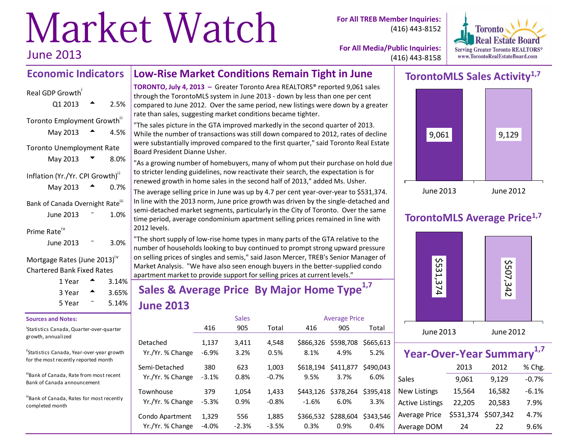# Market Watch June 2013

**For All TREB Member Inquiries:** (416) 443-8152



**For All Media/Public Inquiries:** (416) 443-8158

#### **Economic Indicators Low-Rise Market Conditions Remain Tight in June**

| Real GDP Growth                                         |      |  |
|---------------------------------------------------------|------|--|
| Q1 2013                                                 | 2.5% |  |
| Toronto Employment Growth"<br>May 2013                  | 4.5% |  |
| <b>Toronto Unemployment Rate</b>                        |      |  |
| May 2013                                                | 8.0% |  |
| Inflation (Yr./Yr. CPI Growth) <sup>"</sup><br>May 2013 | 0.7% |  |
| Bank of Canada Overnight Rate <sup>iii</sup>            |      |  |
| June 2013                                               | 1.0% |  |
| Prime Rate                                              |      |  |
| June 2013                                               | 3.0% |  |

#### Mortgage Rates (June 2013)<sup>iv</sup> Chartered Bank Fixed Rates

| 1 Year | 3.14%             |
|--------|-------------------|
| 3 Year | $3.65\%$<br>5.14% |
| 5 Year |                   |

#### **Sources and Notes:**

i Statistics Canada, Quarter-over-quarter growth, annualized

"Statistics Canada, Year-over-year growth for the most recently reported month

iiiBank of Canada, Rate from most recent Bank of Canada announcement

ivBank of Canada, Rates for most recently completed month

**TORONTO, July 4, 2013 –** Greater Toronto Area REALTORS® reported 9,061 sales through the TorontoMLS system in June 2013 - down by less than one per cent compared to June 2012. Over the same period, new listings were down by a greater rate than sales, suggesting market conditions became tighter.

"The sales picture in the GTA improved markedly in the second quarter of 2013. While the number of transactions was still down compared to 2012, rates of decline were substantially improved compared to the first quarter," said Toronto Real Estate Board President Dianne Usher.

"As a growing number of homebuyers, many of whom put their purchase on hold due to stricter lending guidelines, now reactivate their search, the expectation is for renewed growth in home sales in the second half of 2013," added Ms. Usher.

The average selling price in June was up by 4.7 per cent year-over-year to \$531,374. In line with the 2013 norm, June price growth was driven by the single-detached and semi-detached market segments, particularly in the City of Toronto. Over the same time period, average condominium apartment selling prices remained in line with 2012 levels.

"The short supply of low-rise home types in many parts of the GTA relative to the number of households looking to buy continued to prompt strong upward pressure on selling prices of singles and semis," said Jason Mercer, TREB's Senior Manager of Market Analysis. "We have also seen enough buyers in the better-supplied condo apartment market to provide support for selling prices at current levels."

# **Sales & Average Price By Major Home Type1,7 June 2013**

|                               |                | <b>Sales</b>  |                  | <b>Average Price</b> |                             |                   |  |  |
|-------------------------------|----------------|---------------|------------------|----------------------|-----------------------------|-------------------|--|--|
|                               | 416            | 905           | Total            | 416                  | 905                         | Total             |  |  |
| Detached                      | 1,137          | 3,411         | 4,548            | \$866.326            | \$598,708                   | \$665.613         |  |  |
| Yr./Yr. % Change              | $-6.9%$        | 3.2%          | 0.5%             | 8.1%                 | 4.9%                        | 5.2%              |  |  |
| Semi-Detached                 | 380            | 623           | 1,003            | \$618.194            | \$411,877                   | \$490,043         |  |  |
| Yr./Yr. % Change              | $-3.1%$        | 0.8%          | $-0.7%$          | 9.5%                 | 3.7%                        | 6.0%              |  |  |
| Townhouse<br>Yr./Yr. % Change | 379<br>$-5.3%$ | 1,054<br>0.9% | 1,433<br>$-0.8%$ | $-1.6%$              | \$443,126 \$378,264<br>6.0% | \$395.418<br>3.3% |  |  |
| Condo Apartment               | 1,329          | 556           | 1,885            | \$366.532            | \$288,604                   | \$343.546         |  |  |
| Yr./Yr. % Change              | $-4.0%$        | $-2.3%$       | $-3.5%$          | 0.3%                 | 0.9%                        | 0.4%              |  |  |

# **TorontoMLS Sales Activity1,7**



## **TorontoMLS Average Price1,7**



| Year-Over-Year Summary <sup>1,7</sup> |           |           |         |  |  |  |  |  |  |  |  |
|---------------------------------------|-----------|-----------|---------|--|--|--|--|--|--|--|--|
|                                       | 2013      | 2012      | % Chg.  |  |  |  |  |  |  |  |  |
| Sales                                 | 9,061     | 9,129     | $-0.7%$ |  |  |  |  |  |  |  |  |
| <b>New Listings</b>                   | 15,564    | 16,582    | $-6.1%$ |  |  |  |  |  |  |  |  |
| <b>Active Listings</b>                | 22,205    | 20,583    | 7.9%    |  |  |  |  |  |  |  |  |
| Average Price                         | \$531,374 | \$507,342 | 4.7%    |  |  |  |  |  |  |  |  |
| Average DOM                           | 24        | 22        | 9.6%    |  |  |  |  |  |  |  |  |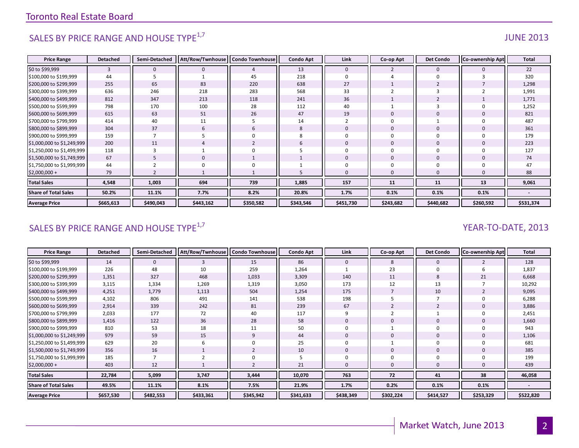# SALES BY PRICE RANGE AND HOUSE TYPE $^{1,7}$  and the set of the set of the set of the set of the set of the set of the set of the set of the set of the set of the set of the set of the set of the set of the set of the set o

| <b>Price Range</b>          | <b>Detached</b> | Semi-Detached  | Att/Row/Twnhouse | <b>Condo Townhouse</b> | <b>Condo Apt</b> | Link           | Co-op Apt    | <b>Det Condo</b> | <b>Co-ownership Apt</b> | Total     |
|-----------------------------|-----------------|----------------|------------------|------------------------|------------------|----------------|--------------|------------------|-------------------------|-----------|
| \$0 to \$99,999             | 3               | 0              | $\mathbf 0$      | 4                      | 13               | $\mathbf{0}$   |              | $\mathbf{0}$     |                         | 22        |
| \$100,000 to \$199,999      | 44              |                |                  | 45                     | 218              |                |              | $\Omega$         |                         | 320       |
| \$200,000 to \$299,999      | 255             | 65             | 83               | 220                    | 638              | 27             |              |                  |                         | 1,298     |
| \$300,000 to \$399,999      | 636             | 246            | 218              | 283                    | 568              | 33             |              |                  |                         | 1,991     |
| \$400,000 to \$499,999      | 812             | 347            | 213              | 118                    | 241              | 36             |              |                  |                         | 1,771     |
| \$500,000 to \$599,999      | 798             | 170            | 100              | 28                     | 112              | 40             |              |                  |                         | 1,252     |
| \$600,000 to \$699,999      | 615             | 63             | 51               | 26                     | 47               | 19             | $\Omega$     | $\Omega$         |                         | 821       |
| \$700,000 to \$799,999      | 414             | 40             | 11               | 5                      | 14               | $\overline{2}$ | $\Omega$     |                  |                         | 487       |
| \$800,000 to \$899,999      | 304             | 37             | 6                | 6                      | 8                | $\mathbf{0}$   | $\mathbf{0}$ | $\mathbf{0}$     |                         | 361       |
| \$900,000 to \$999,999      | 159             | $\overline{7}$ |                  | 0                      |                  |                | $\Omega$     | $\Omega$         |                         | 179       |
| \$1,000,000 to \$1,249,999  | 200             | 11             |                  | $\overline{2}$         |                  | $\mathbf{0}$   | $\mathbf{0}$ | $\mathbf{0}$     |                         | 223       |
| \$1,250,000 to \$1,499,999  | 118             | 3              |                  | $\Omega$               |                  | $\Omega$       | $\Omega$     | $\Omega$         |                         | 127       |
| \$1,500,000 to \$1,749,999  | 67              |                | $\Omega$         |                        |                  | $\Omega$       | $\Omega$     | $\Omega$         |                         | 74        |
| \$1,750,000 to \$1,999,999  | 44              |                | O                |                        |                  |                | O            |                  |                         | 47        |
| $$2,000,000+$               | 79              |                |                  |                        |                  |                | $\mathbf 0$  |                  |                         | 88        |
| <b>Total Sales</b>          | 4,548           | 1,003          | 694              | 739                    | 1,885            | 157            | 11           | 11               | 13                      | 9,061     |
| <b>Share of Total Sales</b> | 50.2%           | 11.1%          | 7.7%             | 8.2%                   | 20.8%            | 1.7%           | 0.1%         | 0.1%             | 0.1%                    |           |
| <b>Average Price</b>        | \$665,613       | \$490,043      | \$443,162        | \$350,582              | \$343,546        | \$451,730      | \$243,682    | \$440,682        | \$260,592               | \$531,374 |

# SALES BY PRICE RANGE AND HOUSE TYPE<sup>1,7</sup> And the set of the set of the set of the set of the set of the set of the set of the set of the set of the set of the set of the set of the set of the set of the set of the set of t

| <b>Price Range</b>          | <b>Detached</b> | Semi-Detached | Att/Row/Twnhouse   Condo Townhouse |           | <b>Condo Apt</b> | Link         | Co-op Apt | <b>Det Condo</b> | <b>Co-ownership Apt</b> | Total     |
|-----------------------------|-----------------|---------------|------------------------------------|-----------|------------------|--------------|-----------|------------------|-------------------------|-----------|
| \$0 to \$99,999             | 14              | $\mathbf{0}$  | 3                                  | 15        | 86               | $\mathbf{0}$ | 8         | $\mathbf{0}$     |                         | 128       |
| \$100,000 to \$199,999      | 226             | 48            | 10                                 | 259       | 1,264            |              | 23        |                  |                         | 1,837     |
| \$200,000 to \$299,999      | 1,351           | 327           | 468                                | 1,033     | 3,309            | 140          | 11        | 8                | 21                      | 6,668     |
| \$300,000 to \$399,999      | 3,115           | 1,334         | 1,269                              | 1,319     | 3,050            | 173          | 12        | 13               |                         | 10,292    |
| \$400,000 to \$499,999      | 4,251           | 1,779         | 1,113                              | 504       | 1,254            | 175          |           | 10               |                         | 9,095     |
| \$500,000 to \$599,999      | 4,102           | 806           | 491                                | 141       | 538              | 198          |           |                  |                         | 6,288     |
| \$600,000 to \$699,999      | 2,914           | 339           | 242                                | 81        | 239              | 67           |           | $\overline{2}$   |                         | 3,886     |
| \$700,000 to \$799,999      | 2,033           | 177           | 72                                 | 40        | 117              |              |           |                  |                         | 2,451     |
| \$800,000 to \$899,999      | 1,416           | 122           | 36                                 | 28        | 58               | $\Omega$     | O         | $\mathbf{0}$     |                         | 1,660     |
| \$900,000 to \$999,999      | 810             | 53            | 18                                 | 11        | 50               |              |           |                  |                         | 943       |
| \$1,000,000 to \$1,249,999  | 979             | 59            | 15                                 | 9         | 44               | $\Omega$     | 0         | $\Omega$         |                         | 1,106     |
| \$1,250,000 to \$1,499,999  | 629             | 20            |                                    | 0         | 25               |              |           |                  |                         | 681       |
| \$1,500,000 to \$1,749,999  | 356             | 16            |                                    |           | 10               | $\Omega$     |           |                  |                         | 385       |
| \$1,750,000 to \$1,999,999  | 185             |               |                                    |           |                  |              |           |                  |                         | 199       |
| $$2,000,000+$               | 403             | 12            |                                    |           | 21               | $\Omega$     |           |                  |                         | 439       |
| <b>Total Sales</b>          | 22,784          | 5,099         | 3,747                              | 3,444     | 10,070           | 763          | 72        | 41               | 38                      | 46,058    |
| <b>Share of Total Sales</b> | 49.5%           | 11.1%         | 8.1%                               | 7.5%      | 21.9%            | 1.7%         | 0.2%      | 0.1%             | 0.1%                    |           |
| <b>Average Price</b>        | \$657,530       | \$482,553     | \$433,361                          | \$345,942 | \$341,633        | \$438,349    | \$302,224 | \$414,527        | \$253,329               | \$522,820 |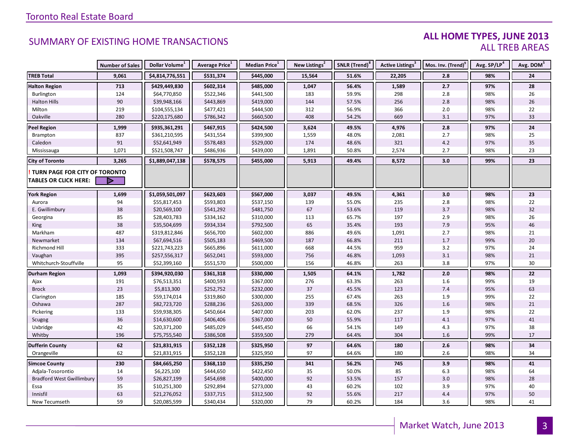#### **ALL HOME TYPES, JUNE 2013** ALL TREB AREAS

|                                  | <b>Number of Sales</b> | Dollar Volume <sup>1</sup> | Average Price <sup>1</sup> | Median Price <sup>1</sup> | New Listings <sup>2</sup> | SNLR (Trend) <sup>8</sup> | Active Listings <sup>3</sup> | Mos. Inv. (Trend) <sup>9</sup> | Avg. SP/LP <sup>4</sup> | Avg. DOM <sup>5</sup> |
|----------------------------------|------------------------|----------------------------|----------------------------|---------------------------|---------------------------|---------------------------|------------------------------|--------------------------------|-------------------------|-----------------------|
| <b>TREB Total</b>                | 9,061                  | \$4,814,776,551            | \$531,374                  | \$445,000                 | 15,564                    | 51.6%                     | 22,205                       | 2.8                            | 98%                     | 24                    |
| <b>Halton Region</b>             | 713                    | \$429,449,830              | \$602,314                  | \$485,000                 | 1,047                     | 56.4%                     | 1,589                        | 2.7                            | 97%                     | 28                    |
| Burlington                       | 124                    | \$64,770,850               | \$522,346                  | \$441,500                 | 183                       | 59.9%                     | 298                          | 2.8                            | 98%                     | 26                    |
| <b>Halton Hills</b>              | 90                     | \$39,948,166               | \$443,869                  | \$419,000                 | 144                       | 57.5%                     | 256                          | 2.8                            | 98%                     | 26                    |
| Milton                           | 219                    | \$104,555,134              | \$477,421                  | \$444,500                 | 312                       | 56.9%                     | 366                          | $2.0$                          | 98%                     | 22                    |
| Oakville                         | 280                    | \$220,175,680              | \$786,342                  | \$660,500                 | 408                       | 54.2%                     | 669                          | 3.1                            | 97%                     | 33                    |
| <b>Peel Region</b>               | 1,999                  | \$935,361,291              | \$467,915                  | \$424,500                 | 3,624                     | 49.5%                     | 4,976                        | 2.8                            | 97%                     | 24                    |
| Brampton                         | 837                    | \$361,210,595              | \$431,554                  | \$399,900                 | 1,559                     | 48.0%                     | 2,081                        | 2.7                            | 98%                     | 25                    |
| Caledon                          | 91                     | \$52,641,949               | \$578,483                  | \$529,000                 | 174                       | 48.6%                     | 321                          | 4.2                            | 97%                     | 35                    |
| Mississauga                      | 1,071                  | \$521,508,747              | \$486,936                  | \$439,000                 | 1,891                     | 50.8%                     | 2,574                        | 2.7                            | 98%                     | 23                    |
| <b>City of Toronto</b>           | 3,265                  | \$1,889,047,138            | \$578,575                  | \$455,000                 | 5,913                     | 49.4%                     | 8,572                        | 3.0                            | 99%                     | 23                    |
| TURN PAGE FOR CITY OF TORONTO    |                        |                            |                            |                           |                           |                           |                              |                                |                         |                       |
| <b>TABLES OR CLICK HERE:</b>     |                        |                            |                            |                           |                           |                           |                              |                                |                         |                       |
| <b>York Region</b>               | 1,699                  | \$1,059,501,097            | \$623,603                  | \$567,000                 | 3,037                     | 49.5%                     | 4,361                        | 3.0                            | 98%                     | 23                    |
| Aurora                           | 94                     | \$55,817,453               | \$593,803                  | \$537,150                 | 139                       | 55.0%                     | 235                          | 2.8                            | 98%                     | 22                    |
| E. Gwillimbury                   | 38                     | \$20,569,100               | \$541,292                  | \$481,750                 | 67                        | 53.6%                     | 119                          | 3.7                            | 98%                     | 32                    |
| Georgina                         | 85                     | \$28,403,783               | \$334,162                  | \$310,000                 | 113                       | 65.7%                     | 197                          | 2.9                            | 98%                     | 26                    |
| King                             | 38                     | \$35,504,699               | \$934,334                  | \$792,500                 | 65                        | 35.4%                     | 193                          | 7.9                            | 95%                     | 46                    |
| Markham                          | 487                    | \$319,812,846              | \$656,700                  | \$602,000                 | 886                       | 49.6%                     | 1,091                        | 2.7                            | 98%                     | 21                    |
| Newmarket                        | 134                    | \$67,694,516               | \$505,183                  | \$469,500                 | 187                       | 66.8%                     | 211                          | $1.7\,$                        | 99%                     | $20\,$                |
| Richmond Hill                    | 333                    | \$221,743,223              | \$665,896                  | \$611,000                 | 668                       | 44.5%                     | 959                          | 3.2                            | 97%                     | 24                    |
| Vaughan                          | 395                    | \$257,556,317              | \$652,041                  | \$593,000                 | 756                       | 46.8%                     | 1,093                        | $3.1\,$                        | 98%                     | 21                    |
| Whitchurch-Stouffville           | 95                     | \$52,399,160               | \$551,570                  | \$500,000                 | 156                       | 46.8%                     | 263                          | 3.8                            | 97%                     | 30                    |
| <b>Durham Region</b>             | 1,093                  | \$394,920,030              | \$361,318                  | \$330,000                 | 1,505                     | 64.1%                     | 1,782                        | 2.0                            | 98%                     | 22                    |
| Ajax                             | 191                    | \$76,513,351               | \$400,593                  | \$367,000                 | 276                       | 63.3%                     | 263                          | 1.6                            | 99%                     | 19                    |
| <b>Brock</b>                     | 23                     | \$5,813,300                | \$252,752                  | \$232,000                 | 37                        | 45.5%                     | 123                          | 7.4                            | 95%                     | 63                    |
| Clarington                       | 185                    | \$59,174,014               | \$319,860                  | \$300,000                 | 255                       | 67.4%                     | 263                          | 1.9                            | 99%                     | 22                    |
| Oshawa                           | 287                    | \$82,723,720               | \$288,236                  | \$263,000                 | 339                       | 68.5%                     | 326                          | 1.6                            | 98%                     | 21                    |
| Pickering                        | 133                    | \$59,938,305               | \$450,664                  | \$407,000                 | 203                       | 62.0%                     | 237                          | 1.9                            | 98%                     | 22                    |
| Scugog                           | 36                     | \$14,630,600               | \$406,406                  | \$367,000                 | $50\,$                    | 55.9%                     | 117                          | 4.1                            | 97%                     | 41                    |
| Uxbridge                         | 42                     | \$20,371,200               | \$485,029                  | \$445,450                 | 66                        | 54.1%                     | 149                          | 4.3                            | 97%                     | 38                    |
| Whitby                           | 196                    | \$75,755,540               | \$386,508                  | \$359,500                 | 279                       | 64.4%                     | 304                          | 1.6                            | 99%                     | 17                    |
| <b>Dufferin County</b>           | 62                     | \$21,831,915               | \$352,128                  | \$325,950                 | 97                        | 64.6%                     | 180                          | $2.6$                          | 98%                     | 34                    |
| Orangeville                      | 62                     | \$21,831,915               | \$352,128                  | \$325,950                 | 97                        | 64.6%                     | 180                          | 2.6                            | 98%                     | 34                    |
| <b>Simcoe County</b>             | 230                    | \$84,665,250               | \$368,110                  | \$335,250                 | 341                       | 56.2%                     | 745                          | 3.9                            | 98%                     | 41                    |
| Adjala-Tosorontio                | 14                     | \$6,225,100                | \$444,650                  | \$422,450                 | 35                        | 50.0%                     | 85                           | 6.3                            | 98%                     | 64                    |
| <b>Bradford West Gwillimbury</b> | 59                     | \$26,827,199               | \$454,698                  | \$400,000                 | 92                        | 53.5%                     | 157                          | 3.0                            | 98%                     | 28                    |
| Essa                             | 35                     | \$10,251,300               | \$292,894                  | \$273,000                 | 43                        | 60.2%                     | 102                          | 3.9                            | 97%                     | 40                    |
| Innisfil                         | 63                     | \$21,276,052               | \$337,715                  | \$312,500                 | 92                        | 55.6%                     | 217                          | 4.4                            | 97%                     | 50                    |
| New Tecumseth                    | 59                     | \$20,085,599               | \$340,434                  | \$320,000                 | 79                        | 60.2%                     | 184                          | 3.6                            | 98%                     | 41                    |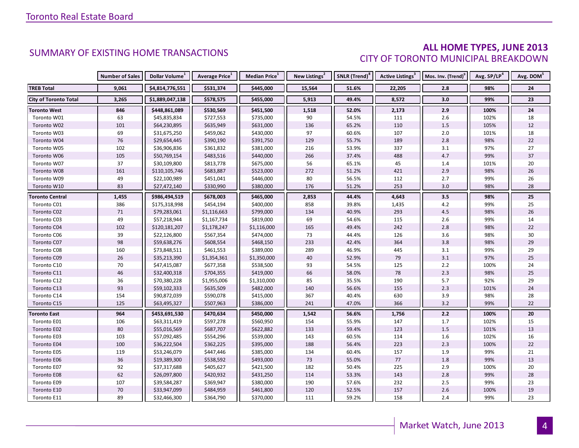#### **ALL HOME TYPES, JUNE 2013** CITY OF TORONTO MUNICIPAL BREAKDOWN

|                              | <b>Number of Sales</b> | Dollar Volume <sup>1</sup> | <b>Average Price</b> <sup>1</sup> | Median Price <sup>1</sup> | New Listings <sup>2</sup> | SNLR (Trend) <sup>8</sup> | Active Listings <sup>3</sup> | Mos. Inv. (Trend) <sup>9</sup> | Avg. SP/LP <sup>4</sup> | Avg. DOM <sup>5</sup> |
|------------------------------|------------------------|----------------------------|-----------------------------------|---------------------------|---------------------------|---------------------------|------------------------------|--------------------------------|-------------------------|-----------------------|
| <b>TREB Total</b>            | 9,061                  | \$4,814,776,551            | \$531,374                         | \$445,000                 | 15,564                    | 51.6%                     | 22,205                       | 2.8                            | 98%                     | 24                    |
| <b>City of Toronto Total</b> | 3,265                  | \$1,889,047,138            | \$578,575                         | \$455,000                 | 5,913                     | 49.4%                     | 8,572                        | 3.0                            | 99%                     | 23                    |
| <b>Toronto West</b>          | 846                    | \$448,861,089              | \$530,569                         | \$451,500                 | 1,518                     | 52.0%                     | 2,173                        | 2.9                            | 100%                    | 24                    |
| Toronto W01                  | 63                     | \$45,835,834               | \$727,553                         | \$735,000                 | 90                        | 54.5%                     | 111                          | 2.6                            | 102%                    | 18                    |
| Toronto W02                  | 101                    | \$64,230,895               | \$635,949                         | \$631,000                 | 136                       | 65.2%                     | 110                          | 1.5                            | 105%                    | 12                    |
| Toronto W03                  | 69                     | \$31,675,250               | \$459,062                         | \$430,000                 | 97                        | 60.6%                     | 107                          | 2.0                            | 101%                    | 18                    |
| Toronto W04                  | 76                     | \$29,654,445               | \$390,190                         | \$391,750                 | 129                       | 55.7%                     | 189                          | 2.8                            | 98%                     | 22                    |
| Toronto W05                  | 102                    | \$36,906,836               | \$361,832                         | \$381,000                 | 216                       | 53.9%                     | 337                          | 3.1                            | 97%                     | 27                    |
| Toronto W06                  | 105                    | \$50,769,154               | \$483,516                         | \$440,000                 | 266                       | 37.4%                     | 488                          | 4.7                            | 99%                     | 37                    |
| Toronto W07                  | 37                     | \$30,109,800               | \$813,778                         | \$675,000                 | 56                        | 65.1%                     | 45                           | 1.4                            | 101%                    | 20                    |
| Toronto W08                  | 161                    | \$110,105,746              | \$683,887                         | \$523,000                 | 272                       | 51.2%                     | 421                          | 2.9                            | 98%                     | 26                    |
| Toronto W09                  | 49                     | \$22,100,989               | \$451,041                         | \$446,000                 | 80                        | 56.5%                     | 112                          | 2.7                            | 99%                     | 26                    |
| Toronto W10                  | 83                     | \$27,472,140               | \$330,990                         | \$380,000                 | 176                       | 51.2%                     | 253                          | 3.0                            | 98%                     | 28                    |
| <b>Toronto Central</b>       | 1,455                  | \$986,494,519              | \$678,003                         | \$465,000                 | 2,853                     | 44.4%                     | 4,643                        | 3.5                            | 98%                     | 25                    |
| Toronto C01                  | 386                    | \$175,318,998              | \$454,194                         | \$400,000                 | 858                       | 39.8%                     | 1,435                        | 4.2                            | 99%                     | 25                    |
| Toronto C02                  | $71\,$                 | \$79,283,061               | \$1,116,663                       | \$799,000                 | 134                       | 40.9%                     | 293                          | 4.5                            | 98%                     | 26                    |
| Toronto C03                  | 49                     | \$57,218,944               | \$1,167,734                       | \$819,000                 | 69                        | 54.6%                     | 115                          | 2.6                            | 99%                     | 14                    |
| Toronto C04                  | 102                    | \$120,181,207              | \$1,178,247                       | \$1,116,000               | 165                       | 49.4%                     | 242                          | 2.8                            | 98%                     | 22                    |
| Toronto C06                  | 39                     | \$22,126,800               | \$567,354                         | \$474,000                 | 73                        | 44.4%                     | 126                          | 3.6                            | 98%                     | 30                    |
| Toronto C07                  | 98                     | \$59,638,276               | \$608,554                         | \$468,150                 | 233                       | 42.4%                     | 364                          | 3.8                            | 98%                     | 29                    |
| Toronto C08                  | 160                    | \$73,848,511               | \$461,553                         | \$389,000                 | 289                       | 46.9%                     | 445                          | 3.1                            | 99%                     | 29                    |
| Toronto C09                  | 26                     | \$35,213,390               | \$1,354,361                       | \$1,350,000               | 40                        | 52.9%                     | 79                           | 3.1                            | 97%                     | 25                    |
| Toronto C10                  | 70                     | \$47,415,087               | \$677,358                         | \$538,500                 | 93                        | 54.5%                     | 125                          | $2.2\,$                        | 100%                    | 24                    |
| Toronto C11                  | 46                     | \$32,400,318               | \$704,355                         | \$419,000                 | 66                        | 58.0%                     | 78                           | 2.3                            | 98%                     | 25                    |
| Toronto C12                  | 36                     | \$70,380,228               | \$1,955,006                       | \$1,310,000               | 85                        | 35.5%                     | 190                          | 5.7                            | 92%                     | 29                    |
| Toronto C13                  | 93                     | \$59,102,333               | \$635,509                         | \$482,000                 | 140                       | 56.6%                     | 155                          | 2.3                            | 101%                    | 24                    |
| Toronto C14                  | 154                    | \$90,872,039               | \$590,078                         | \$415,000                 | 367                       | 40.4%                     | 630                          | 3.9                            | 98%                     | 28                    |
| Toronto C15                  | 125                    | \$63,495,327               | \$507,963                         | \$386,000                 | 241                       | 47.0%                     | 366                          | 3.2                            | 99%                     | 22                    |
| Toronto East                 | 964                    | \$453,691,530              | \$470,634                         | \$450,000                 | 1,542                     | 56.6%                     | 1,756                        | $2.2$                          | 100%                    | 20                    |
| Toronto E01                  | 106                    | \$63,311,419               | \$597,278                         | \$560,950                 | 154                       | 55.9%                     | 147                          | 1.7                            | 102%                    | 15                    |
| Toronto E02                  | 80                     | \$55,016,569               | \$687,707                         | \$622,882                 | 133                       | 59.4%                     | 123                          | $1.5$                          | 101%                    | 13                    |
| Toronto E03                  | 103                    | \$57,092,485               | \$554,296                         | \$539,000                 | 143                       | 60.5%                     | 114                          | 1.6                            | 102%                    | 16                    |
| Toronto E04                  | 100                    | \$36,222,504               | \$362,225                         | \$395,000                 | 188                       | 56.4%                     | 223                          | 2.3                            | 100%                    | 22                    |
| Toronto E05                  | 119                    | \$53,246,079               | \$447,446                         | \$385,000                 | 134                       | 60.4%                     | 157                          | 1.9                            | 99%                     | 21                    |
| <b>Toronto E06</b>           | 36                     | \$19,389,300               | \$538,592                         | \$493,000                 | 73                        | 55.0%                     | 77                           | 1.8                            | 99%                     | 13                    |
| Toronto E07                  | 92                     | \$37,317,688               | \$405,627                         | \$421,500                 | 182                       | 50.4%                     | 225                          | 2.9                            | 100%                    | 20                    |
| Toronto E08                  | 62                     | \$26,097,800               | \$420,932                         | \$431,250                 | 114                       | 53.3%                     | 143                          | 2.8                            | 99%                     | 28                    |
| Toronto E09                  | 107                    | \$39,584,287               | \$369,947                         | \$380,000                 | 190                       | 57.6%                     | 232                          | 2.5                            | 99%                     | 23                    |
| Toronto E10                  | $70\,$                 | \$33,947,099               | \$484,959                         | \$461,800                 | 120                       | 52.5%                     | 157                          | 2.6                            | 100%                    | 19                    |
| Toronto E11                  | 89                     | \$32,466,300               | \$364,790                         | \$370,000                 | 111                       | 59.2%                     | 158                          | 2.4                            | 99%                     | 23                    |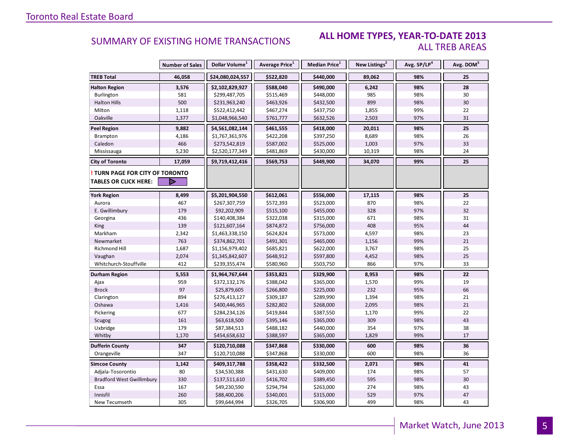#### **ALL HOME TYPES, YEAR-TO-DATE 2013** ALL TREB AREAS

|                                  | <b>Number of Sales</b> | Dollar Volume <sup>1</sup> | Average Price <sup>1</sup> | <b>Median Price</b> <sup>1</sup> | New Listings <sup>2</sup> | Avg. SP/LP <sup>4</sup> | Avg. DOM <sup>5</sup> |
|----------------------------------|------------------------|----------------------------|----------------------------|----------------------------------|---------------------------|-------------------------|-----------------------|
| <b>TREB Total</b>                | 46,058                 | \$24,080,024,557           | \$522,820                  | \$440,000                        | 89,062                    | 98%                     | 25                    |
| <b>Halton Region</b>             | 3,576                  | \$2,102,829,927            | \$588,040                  | \$490,000                        | 6,242                     | 98%                     | 28                    |
| Burlington                       | 581                    | \$299,487,705              | \$515,469                  | \$448,000                        | 985                       | 98%                     | 30                    |
| <b>Halton Hills</b>              | 500                    | \$231,963,240              | \$463,926                  | \$432,500                        | 899                       | 98%                     | 30                    |
| Milton                           | 1,118                  | \$522,412,442              | \$467,274                  | \$437,750                        | 1,855                     | 99%                     | 22                    |
| Oakville                         | 1,377                  | \$1,048,966,540            | \$761,777                  | \$632,526                        | 2,503                     | 97%                     | 31                    |
| <b>Peel Region</b>               | 9,882                  | \$4,561,082,144            | \$461,555                  | \$418,000                        | 20,011                    | 98%                     | 25                    |
| <b>Brampton</b>                  | 4,186                  | \$1,767,361,976            | \$422,208                  | \$397,250                        | 8,689                     | 98%                     | 26                    |
| Caledon                          | 466                    | \$273,542,819              | \$587,002                  | \$525,000                        | 1,003                     | 97%                     | 33                    |
| Mississauga                      | 5,230                  | \$2,520,177,349            | \$481,869                  | \$430,000                        | 10,319                    | 98%                     | 24                    |
| <b>City of Toronto</b>           | 17,059                 | \$9,719,412,416            | \$569,753                  | \$449,900                        | 34,070                    | 99%                     | 25                    |
| TURN PAGE FOR CITY OF TORONTO    |                        |                            |                            |                                  |                           |                         |                       |
| <b>TABLES OR CLICK HERE:</b>     |                        |                            |                            |                                  |                           |                         |                       |
| <b>York Region</b>               | 8,499                  | \$5,201,904,550            | \$612,061                  | \$556,000                        | 17,115                    | 98%                     | 25                    |
| Aurora                           | 467                    | \$267,307,759              | \$572,393                  | \$523,000                        | 870                       | 98%                     | 22                    |
| E. Gwillimbury                   | 179                    | \$92,202,909               | \$515,100                  | \$455,000                        | 328                       | 97%                     | 32                    |
| Georgina                         | 436                    | \$140,408,384              | \$322,038                  | \$315,000                        | 671                       | 98%                     | 31                    |
| <b>King</b>                      | 139                    | \$121,607,164              | \$874,872                  | \$756,000                        | 408                       | 95%                     | 44                    |
| Markham                          | 2,342                  | \$1,463,338,150            | \$624,824                  | \$573,000                        | 4,597                     | 98%                     | 23                    |
| Newmarket                        | 763                    | \$374,862,701              | \$491,301                  | \$465,000                        | 1,156                     | 99%                     | 21                    |
| Richmond Hill                    | 1,687                  | \$1,156,979,402            | \$685,821                  | \$622,000                        | 3,767                     | 98%                     | 25                    |
| Vaughan                          | 2,074                  | \$1,345,842,607            | \$648,912                  | \$597,800                        | 4,452                     | 98%                     | 25                    |
| Whitchurch-Stouffville           | 412                    | \$239,355,474              | \$580,960                  | \$503,750                        | 866                       | 97%                     | 33                    |
| Durham Region                    | 5,553                  | \$1,964,767,644            | \$353,821                  | \$329,900                        | 8,953                     | 98%                     | 22                    |
| Ajax                             | 959                    | \$372,132,176              | \$388,042                  | \$365,000                        | 1,570                     | 99%                     | 19                    |
| <b>Brock</b>                     | 97                     | \$25,879,605               | \$266,800                  | \$225,000                        | 232                       | 95%                     | 66                    |
| Clarington                       | 894                    | \$276,413,127              | \$309,187                  | \$289,990                        | 1,394                     | 98%                     | 21                    |
| Oshawa                           | 1,416                  | \$400,446,965              | \$282,802                  | \$268,000                        | 2,095                     | 98%                     | 21                    |
| Pickering                        | 677                    | \$284,234,126              | \$419,844                  | \$387,550                        | 1,170                     | 99%                     | 22                    |
| Scugog                           | 161                    | \$63,618,500               | \$395,146                  | \$365,000                        | 309                       | 98%                     | 43                    |
| Uxbridge                         | 179                    | \$87,384,513               | \$488,182                  | \$440,000                        | 354                       | 97%                     | 38                    |
| Whitby                           | 1,170                  | \$454,658,632              | \$388,597                  | \$365,000                        | 1,829                     | 99%                     | 17                    |
| <b>Dufferin County</b>           | 347                    | \$120,710,088              | \$347,868                  | \$330,000                        | 600                       | 98%                     | 36                    |
| Orangeville                      | 347                    | \$120,710,088              | \$347,868                  | \$330,000                        | 600                       | 98%                     | 36                    |
| <b>Simcoe County</b>             | 1,142                  | \$409,317,788              | \$358,422                  | \$332,500                        | 2,071                     | 98%                     | 41                    |
| Adjala-Tosorontio                | 80                     | \$34,530,388               | \$431,630                  | \$409,000                        | 174                       | 98%                     | 57                    |
| <b>Bradford West Gwillimbury</b> | 330                    | \$137,511,610              | \$416,702                  | \$389,450                        | 595                       | 98%                     | 30                    |
| Essa                             | 167                    | \$49,230,590               | \$294,794                  | \$263,000                        | 274                       | 98%                     | 43                    |
| Innisfil                         | 260                    | \$88,400,206               | \$340,001                  | \$315,000                        | 529                       | 97%                     | 47                    |
| New Tecumseth                    | 305                    | \$99,644,994               | \$326,705                  | \$306,900                        | 499                       | 98%                     | 43                    |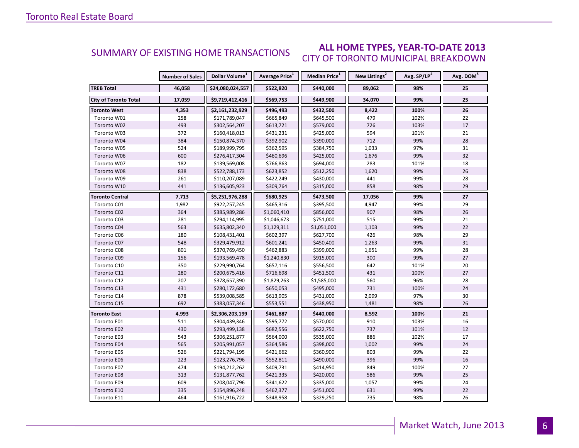#### **ALL HOME TYPES, YEAR-TO-DATE 2013** CITY OF TORONTO MUNICIPAL BREAKDOWN SUMMARY OF EXISTING HOME TRANSACTIONS

|                              | <b>Number of Sales</b> | Dollar Volume <sup>1</sup> | Average Price <sup>1</sup> | Median Price <sup>1</sup> | New Listings <sup>2</sup> | Avg. SP/LP <sup>4</sup> | Avg. DOM <sup>5</sup> |
|------------------------------|------------------------|----------------------------|----------------------------|---------------------------|---------------------------|-------------------------|-----------------------|
| <b>TREB Total</b>            | 46,058                 | \$24,080,024,557           | \$522,820                  | \$440,000                 | 89,062                    | 98%                     | 25                    |
| <b>City of Toronto Total</b> | 17,059                 | \$9,719,412,416            | \$569,753                  | \$449,900                 | 34,070                    | 99%                     | 25                    |
| Toronto West                 | 4,353                  | \$2,161,232,929            | \$496,493                  | \$432,500                 | 8,422                     | 100%                    | 26                    |
| Toronto W01                  | 258                    | \$171,789,047              | \$665,849                  | \$645,500                 | 479                       | 102%                    | 22                    |
| Toronto W02                  | 493                    | \$302,564,207              | \$613,721                  | \$579,000                 | 726                       | 103%                    | 17                    |
| Toronto W03                  | 372                    | \$160,418,013              | \$431,231                  | \$425,000                 | 594                       | 101%                    | 21                    |
| Toronto W04                  | 384                    | \$150,874,370              | \$392,902                  | \$390,000                 | 712                       | 99%                     | 28                    |
| Toronto W05                  | 524                    | \$189,999,795              | \$362,595                  | \$384,750                 | 1,033                     | 97%                     | 31                    |
| Toronto W06                  | 600                    | \$276,417,304              | \$460,696                  | \$425,000                 | 1,676                     | 99%                     | 32                    |
| Toronto W07                  | 182                    | \$139,569,008              | \$766,863                  | \$694,000                 | 283                       | 101%                    | 18                    |
| Toronto W08                  | 838                    | \$522,788,173              | \$623,852                  | \$512,250                 | 1,620                     | 99%                     | 26                    |
| Toronto W09                  | 261                    | \$110,207,089              | \$422,249                  | \$430,000                 | 441                       | 99%                     | 28                    |
| Toronto W10                  | 441                    | \$136,605,923              | \$309,764                  | \$315,000                 | 858                       | 98%                     | 29                    |
| <b>Toronto Central</b>       | 7,713                  | \$5,251,976,288            | \$680,925                  | \$473,500                 | 17,056                    | 99%                     | 27                    |
| Toronto C01                  | 1,982                  | \$922,257,245              | \$465,316                  | \$395,500                 | 4,947                     | 99%                     | 29                    |
| Toronto C02                  | 364                    | \$385,989,286              | \$1,060,410                | \$856,000                 | 907                       | 98%                     | 26                    |
| Toronto C03                  | 281                    | \$294,114,995              | \$1,046,673                | \$751,000                 | 515                       | 99%                     | 21                    |
| Toronto C04                  | 563                    | \$635,802,340              | \$1,129,311                | \$1,051,000               | 1,103                     | 99%                     | 22                    |
| Toronto C06                  | 180                    | \$108,431,401              | \$602,397                  | \$627,700                 | 426                       | 98%                     | 29                    |
| Toronto C07                  | 548                    | \$329,479,912              | \$601,241                  | \$450,400                 | 1,263                     | 99%                     | 31                    |
| Toronto C08                  | 801                    | \$370,769,450              | \$462,883                  | \$399,000                 | 1,651                     | 99%                     | 28                    |
| Toronto C09                  | 156                    | \$193,569,478              | \$1,240,830                | \$915,000                 | 300                       | 99%                     | 27                    |
| Toronto C10                  | 350                    | \$229,990,764              | \$657,116                  | \$556,500                 | 642                       | 101%                    | 20                    |
| Toronto C11                  | 280                    | \$200,675,416              | \$716,698                  | \$451,500                 | 431                       | 100%                    | 27                    |
| Toronto C12                  | 207                    | \$378,657,390              | \$1,829,263                | \$1,585,000               | 560                       | 96%                     | 28                    |
| Toronto C13                  | 431                    | \$280,172,680              | \$650,053                  | \$495,000                 | 731                       | 100%                    | 24                    |
| Toronto C14                  | 878                    | \$539,008,585              | \$613,905                  | \$431,000                 | 2,099                     | 97%                     | 30                    |
| Toronto C15                  | 692                    | \$383,057,346              | \$553,551                  | \$438,950                 | 1,481                     | 98%                     | 26                    |
| <b>Toronto East</b>          | 4,993                  | \$2,306,203,199            | \$461,887                  | \$440,000                 | 8,592                     | 100%                    | 21                    |
| Toronto E01                  | 511                    | \$304,439,346              | \$595,772                  | \$570,000                 | 910                       | 103%                    | 16                    |
| Toronto E02                  | 430                    | \$293,499,138              | \$682,556                  | \$622,750                 | 737                       | 101%                    | 12                    |
| Toronto E03                  | 543                    | \$306,251,877              | \$564,000                  | \$535,000                 | 886                       | 102%                    | 17                    |
| Toronto E04                  | 565                    | \$205,991,057              | \$364,586                  | \$398,000                 | 1,002                     | 99%                     | 24                    |
| Toronto E05                  | 526                    | \$221,794,195              | \$421,662                  | \$360,900                 | 803                       | 99%                     | 22                    |
| <b>Toronto E06</b>           | 223                    | \$123,276,796              | \$552,811                  | \$490,000                 | 396                       | 99%                     | 16                    |
| Toronto E07                  | 474                    | \$194,212,262              | \$409,731                  | \$414,950                 | 849                       | 100%                    | 27                    |
| <b>Toronto E08</b>           | 313                    | \$131,877,762              | \$421,335                  | \$420,000                 | 586                       | 99%                     | 25                    |
| Toronto E09                  | 609                    | \$208,047,796              | \$341,622                  | \$335,000                 | 1,057                     | 99%                     | 24                    |
| Toronto E10                  | 335                    | \$154,896,248              | \$462,377                  | \$451,000                 | 631                       | 99%                     | 22                    |
| Toronto E11                  | 464                    | \$161,916,722              | \$348,958                  | \$329,250                 | 735                       | 98%                     | 26                    |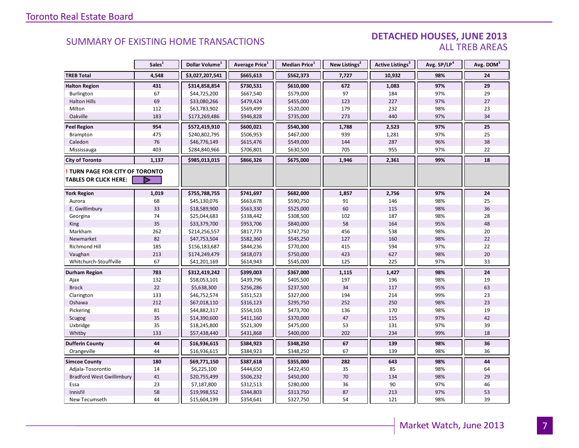#### DETACHED HOUSES, JUNE 2013 ALL TREB AREAS

|                                  | Sales <sup>1</sup> | Dollar Volume <sup>1</sup> | Average Price <sup>1</sup> | Median Price <sup>1</sup> | New Listings <sup>2</sup> | Active Listings <sup>3</sup> | Avg. SP/LP <sup>4</sup> | Avg. DOM <sup>5</sup> |
|----------------------------------|--------------------|----------------------------|----------------------------|---------------------------|---------------------------|------------------------------|-------------------------|-----------------------|
| <b>TREB Total</b>                | 4,548              | \$3,027,207,541            | \$665,613                  | \$562,373                 | 7,727                     | 10,932                       | 98%                     | 24                    |
| <b>Halton Region</b>             | 431                | \$314,858,854              | \$730,531                  | \$610,000                 | 672                       | 1,083                        | 97%                     | 29                    |
| Burlington                       | 67                 | \$44,725,200               | \$667,540                  | \$579,000                 | 97                        | 184                          | 97%                     | 29                    |
| <b>Halton Hills</b>              | 69                 | \$33,080,266               | \$479,424                  | \$455,000                 | 123                       | 227                          | 97%                     | 27                    |
| Milton                           | 112                | \$63,783,902               | \$569,499                  | \$520,000                 | 179                       | 232                          | 98%                     | 23                    |
| Oakville                         | 183                | \$173,269,486              | \$946,828                  | \$735,000                 | 273                       | 440                          | 97%                     | 34                    |
| <b>Peel Region</b>               | 954                | \$572,419,910              | \$600,021                  | \$540,300                 | 1,788                     | 2,523                        | 97%                     | 25                    |
| Brampton                         | 475                | \$240,802,795              | \$506,953                  | \$467,000                 | 939                       | 1,281                        | 97%                     | 25                    |
| Caledon                          | 76                 | \$46,776,149               | \$615,476                  | \$549,000                 | 144                       | 287                          | 96%                     | 38                    |
| Mississauga                      | 403                | \$284,840,966              | \$706,801                  | \$630,500                 | 705                       | 955                          | 97%                     | 22                    |
| <b>City of Toronto</b>           | 1,137              | \$985,013,015              | \$866,326                  | \$675,000                 | 1,946                     | 2,361                        | 99%                     | 18                    |
| TURN PAGE FOR CITY OF TORONTO    |                    |                            |                            |                           |                           |                              |                         |                       |
| <b>TABLES OR CLICK HERE:</b>     |                    |                            |                            |                           |                           |                              |                         |                       |
| <b>York Region</b>               | 1,019              | \$755,788,755              | \$741,697                  | \$682,000                 | 1,857                     | 2,756                        | 97%                     | 24                    |
| Aurora                           | 68                 | \$45,130,076               | \$663,678                  | \$590,750                 | 91                        | 146                          | 98%                     | 25                    |
| E. Gwillimbury                   | 33                 | \$18,589,900               | \$563,330                  | \$525,000                 | 60                        | 115                          | 98%                     | 36                    |
| Georgina                         | 74                 | \$25,044,683               | \$338,442                  | \$308,500                 | 102                       | 187                          | 98%                     | 28                    |
| <b>King</b>                      | 35                 | \$33,379,700               | \$953,706                  | \$840,000                 | 58                        | 164                          | 95%                     | 48                    |
| Markham                          | 262                | \$214,256,557              | \$817,773                  | \$747,750                 | 456                       | 538                          | 98%                     | 20                    |
| Newmarket                        | 82                 | \$47,753,504               | \$582,360                  | \$545,250                 | 127                       | 160                          | 98%                     | 22                    |
| <b>Richmond Hill</b>             | 185                | \$156,183,687              | \$844,236                  | \$770,000                 | 415                       | 594                          | 97%                     | 22                    |
| Vaughan                          | 213                | \$174,249,479              | \$818,073                  | \$750,000                 | 423                       | 627                          | 98%                     | 20                    |
| Whitchurch-Stouffville           | 67                 | \$41,201,169               | \$614,943                  | \$545,000                 | 125                       | 225                          | 97%                     | 33                    |
| <b>Durham Region</b>             | 783                | \$312,419,242              | \$399,003                  | \$367,000                 | 1,115                     | 1,427                        | 98%                     | 24                    |
| Ajax                             | 132                | \$58,053,101               | \$439,796                  | \$405,500                 | 197                       | 196                          | 98%                     | 19                    |
| <b>Brock</b>                     | 22                 | \$5,638,300                | \$256,286                  | \$237,500                 | 34                        | 117                          | 95%                     | 63                    |
| Clarington                       | 133                | \$46,752,574               | \$351,523                  | \$327,000                 | 194                       | 214                          | 99%                     | 23                    |
| Oshawa                           | 212                | \$67,018,110               | \$316,123                  | \$295,750                 | 252                       | 250                          | 98%                     | 23                    |
| Pickering                        | 81                 | \$44,882,317               | \$554,103                  | \$473,700                 | 136                       | 170                          | 98%                     | 19                    |
| Scugog                           | 35                 | \$14,390,600               | \$411,160                  | \$370,000                 | 47                        | 115                          | 97%                     | 42                    |
| Uxbridge                         | 35                 | \$18,245,800               | \$521,309                  | \$475,000                 | 53                        | 131                          | 97%                     | 39                    |
| Whitby                           | 133                | \$57,438,440               | \$431,868                  | \$400,000                 | 202                       | 234                          | 99%                     | 18                    |
| <b>Dufferin County</b>           | 44                 | \$16,936,615               | \$384,923                  | \$348,250                 | 67                        | 139                          | 98%                     | 36                    |
| Orangeville                      | 44                 | \$16,936,615               | \$384,923                  | \$348,250                 | 67                        | 139                          | 98%                     | 36                    |
| <b>Simcoe County</b>             | 180                | \$69,771,150               | \$387,618                  | \$355,000                 | 282                       | 643                          | 98%                     | 44                    |
| Adjala-Tosorontio                | 14                 | \$6,225,100                | \$444,650                  | \$422,450                 | 35                        | 85                           | 98%                     | 64                    |
| <b>Bradford West Gwillimbury</b> | 41                 | \$20,755,499               | \$506,232                  | \$450,000                 | 70                        | 134                          | 98%                     | 29                    |
| Essa                             | 23                 | \$7,187,800                | \$312,513                  | \$280,000                 | 36                        | 90                           | 97%                     | 46                    |
| Innisfil                         | 58                 | \$19,998,552               | \$344,803                  | \$313,750                 | 87                        | 213                          | 97%                     | 53                    |
| New Tecumseth                    | 44                 | \$15,604,199               | \$354,641                  | \$327,750                 | 54                        | 121                          | 98%                     | 39                    |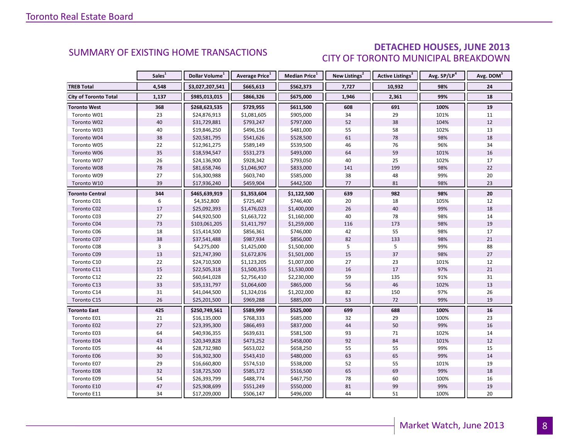### DETACHED HOUSES, JUNE 2013 CITY OF TORONTO MUNICIPAL BREAKDOWN

<span id="page-7-0"></span>

|                              | Sales <sup>1</sup> | Dollar Volume <sup>1</sup> | Average Price <sup>1</sup> | Median Price <sup>1</sup> | New Listings <sup>2</sup> | <b>Active Listings<sup>3</sup></b> | Avg. SP/LP <sup>4</sup> | Avg. DOM <sup>5</sup> |
|------------------------------|--------------------|----------------------------|----------------------------|---------------------------|---------------------------|------------------------------------|-------------------------|-----------------------|
| <b>TREB Total</b>            | 4,548              | \$3,027,207,541            | \$665,613                  | \$562,373                 | 7,727                     | 10,932                             | 98%                     | 24                    |
| <b>City of Toronto Total</b> | 1,137              | \$985,013,015              | \$866,326                  | \$675,000                 | 1,946                     | 2,361                              | 99%                     | 18                    |
| Toronto West                 | 368                | \$268,623,535              | \$729,955                  | \$611,500                 | 608                       | 691                                | 100%                    | 19                    |
| Toronto W01                  | 23                 | \$24,876,913               | \$1,081,605                | \$905,000                 | 34                        | 29                                 | 101%                    | 11                    |
| Toronto W02                  | 40                 | \$31,729,881               | \$793,247                  | \$797,000                 | 52                        | 38                                 | 104%                    | 12                    |
| Toronto W03                  | 40                 | \$19,846,250               | \$496,156                  | \$481,000                 | 55                        | 58                                 | 102%                    | 13                    |
| Toronto W04                  | 38                 | \$20,581,795               | \$541,626                  | \$528,500                 | 61                        | 78                                 | 98%                     | 18                    |
| Toronto W05                  | 22                 | \$12,961,275               | \$589,149                  | \$539,500                 | 46                        | 76                                 | 96%                     | 34                    |
| Toronto W06                  | 35                 | \$18,594,547               | \$531,273                  | \$493,000                 | 64                        | 59                                 | 101%                    | 16                    |
| Toronto W07                  | 26                 | \$24,136,900               | \$928,342                  | \$793,050                 | 40                        | 25                                 | 102%                    | 17                    |
| Toronto W08                  | 78                 | \$81,658,746               | \$1,046,907                | \$833,000                 | 141                       | 199                                | 98%                     | 22                    |
| Toronto W09                  | 27                 | \$16,300,988               | \$603,740                  | \$585,000                 | 38                        | 48                                 | 99%                     | 20                    |
| Toronto W10                  | 39                 | \$17,936,240               | \$459,904                  | \$442,500                 | 77                        | 81                                 | 98%                     | 23                    |
| <b>Toronto Central</b>       | 344                | \$465,639,919              | \$1,353,604                | \$1,122,500               | 639                       | 982                                | 98%                     | 20                    |
| Toronto C01                  | 6                  | \$4,352,800                | \$725,467                  | \$746,400                 | 20                        | 18                                 | 105%                    | 12                    |
| Toronto C02                  | 17                 | \$25,092,393               | \$1,476,023                | \$1,400,000               | 26                        | 40                                 | 99%                     | 18                    |
| Toronto C03                  | 27                 | \$44,920,500               | \$1,663,722                | \$1,160,000               | 40                        | 78                                 | 98%                     | 14                    |
| Toronto C04                  | 73                 | \$103,061,205              | \$1,411,797                | \$1,259,000               | 116                       | 173                                | 98%                     | 19                    |
| Toronto C06                  | 18                 | \$15,414,500               | \$856,361                  | \$746,000                 | 42                        | 55                                 | 98%                     | 17                    |
| Toronto C07                  | 38                 | \$37,541,488               | \$987,934                  | \$856,000                 | 82                        | 133                                | 98%                     | 21                    |
| Toronto C08                  | $\overline{3}$     | \$4,275,000                | \$1,425,000                | \$1,500,000               | 5                         | 5                                  | 99%                     | 88                    |
| Toronto C09                  | 13                 | \$21,747,390               | \$1,672,876                | \$1,501,000               | 15                        | 37                                 | 98%                     | 27                    |
| Toronto C10                  | 22                 | \$24,710,500               | \$1,123,205                | \$1,007,000               | 27                        | 23                                 | 101%                    | 12                    |
| Toronto C11                  | 15                 | \$22,505,318               | \$1,500,355                | \$1,530,000               | 16                        | 17                                 | 97%                     | 21                    |
| Toronto C12                  | $22\,$             | \$60,641,028               | \$2,756,410                | \$2,230,000               | 59                        | 135                                | 91%                     | 31                    |
| Toronto C13                  | 33                 | \$35,131,797               | \$1,064,600                | \$865,000                 | 56                        | 46                                 | 102%                    | 13                    |
| Toronto C14                  | 31                 | \$41,044,500               | \$1,324,016                | \$1,202,000               | 82                        | 150                                | 97%                     | 26                    |
| Toronto C15                  | 26                 | \$25,201,500               | \$969,288                  | \$885,000                 | 53                        | 72                                 | 99%                     | 19                    |
| <b>Toronto East</b>          | 425                | \$250,749,561              | \$589,999                  | \$525,000                 | 699                       | 688                                | 100%                    | 16                    |
| Toronto E01                  | 21                 | \$16,135,000               | \$768,333                  | \$685,000                 | 32                        | 29                                 | 100%                    | 23                    |
| Toronto E02                  | $27\,$             | \$23,395,300               | \$866,493                  | \$837,000                 | 44                        | 50                                 | 99%                     | $16\,$                |
| Toronto E03                  | 64                 | \$40,936,355               | \$639,631                  | \$581,500                 | 93                        | 71                                 | 102%                    | 14                    |
| Toronto E04                  | 43                 | \$20,349,828               | \$473,252                  | \$458,000                 | 92                        | 84                                 | 101%                    | 12                    |
| Toronto E05                  | 44                 | \$28,732,980               | \$653,022                  | \$658,250                 | 55                        | 55                                 | 99%                     | 15                    |
| Toronto E06                  | 30 <sup>°</sup>    | \$16,302,300               | \$543,410                  | \$480,000                 | 63                        | 65                                 | 99%                     | 14                    |
| Toronto E07                  | 29                 | \$16,660,800               | \$574,510                  | \$538,000                 | 52                        | 55                                 | 101%                    | 19                    |
| Toronto E08                  | 32                 | \$18,725,500               | \$585,172                  | \$516,500                 | 65                        | 69                                 | 99%                     | 18                    |
| Toronto E09                  | 54                 | \$26,393,799               | \$488,774                  | \$467,750                 | 78                        | 60                                 | 100%                    | 16                    |
| Toronto E10                  | 47                 | \$25,908,699               | \$551,249                  | \$550,000                 | 81                        | 99                                 | 99%                     | 19                    |
| Toronto E11                  | 34                 | \$17,209,000               | \$506,147                  | \$496,000                 | 44                        | 51                                 | 100%                    | 20                    |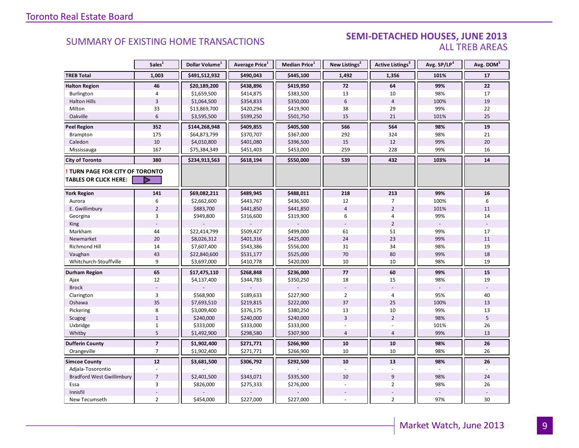#### SEMI-DETACHED HOUSES, JUNE 2013 ALL TREB AREAS

|                                  | Sales <sup>1</sup> | Dollar Volume <sup>1</sup> | Average Price <sup>1</sup> | Median Price <sup>1</sup> | New Listings <sup>2</sup> | Active Listings <sup>3</sup> | Avg. SP/LP <sup>4</sup> | Avg. DOM <sup>5</sup> |
|----------------------------------|--------------------|----------------------------|----------------------------|---------------------------|---------------------------|------------------------------|-------------------------|-----------------------|
| <b>TREB Total</b>                | 1,003              | \$491,512,932              | \$490,043                  | \$445,100                 | 1,492                     | 1,356                        | 101%                    | 17                    |
| <b>Halton Region</b>             | 46                 | \$20,189,200               | \$438,896                  | \$419,950                 | 72                        | 64                           | 99%                     | 22                    |
| Burlington                       | $\overline{4}$     | \$1,659,500                | \$414,875                  | \$383,500                 | 13                        | 10                           | 98%                     | 17                    |
| <b>Halton Hills</b>              | $\overline{3}$     | \$1,064,500                | \$354,833                  | \$350,000                 | $6\phantom{a}$            | $\overline{4}$               | 100%                    | 19                    |
| Milton                           | 33                 | \$13,869,700               | \$420,294                  | \$419,900                 | 38                        | 29                           | 99%                     | 22                    |
| Oakville                         | $6\,$              | \$3,595,500                | \$599,250                  | \$501,750                 | 15                        | 21                           | 101%                    | 25                    |
| <b>Peel Region</b>               | 352                | \$144,268,948              | \$409,855                  | \$405,500                 | 566                       | 564                          | 98%                     | 19                    |
| Brampton                         | 175                | \$64,873,799               | \$370,707                  | \$367,000                 | 292                       | 324                          | 98%                     | 21                    |
| Caledon                          | 10                 | \$4,010,800                | \$401,080                  | \$396,500                 | 15                        | 12                           | 99%                     | 20                    |
| Mississauga                      | 167                | \$75,384,349               | \$451,403                  | \$453,000                 | 259                       | 228                          | 99%                     | 16                    |
| <b>City of Toronto</b>           | 380                | \$234,913,563              | \$618,194                  | \$550,000                 | 539                       | 432                          | 103%                    | 14                    |
| TURN PAGE FOR CITY OF TORONTO    |                    |                            |                            |                           |                           |                              |                         |                       |
| <b>TABLES OR CLICK HERE:</b>     |                    |                            |                            |                           |                           |                              |                         |                       |
| <b>York Region</b>               | 141                | \$69,082,211               | \$489,945                  | \$488,011                 | 218                       | 213                          | 99%                     | 16                    |
| Aurora                           | 6                  | \$2,662,600                | \$443,767                  | \$436,500                 | 12                        | $\overline{7}$               | 100%                    | 6                     |
| E. Gwillimbury                   | $\overline{2}$     | \$883,700                  | \$441,850                  | \$441,850                 | $\overline{4}$            | $\overline{2}$               | 101%                    | 11                    |
| Georgina                         | 3                  | \$949,800                  | \$316,600                  | \$319,900                 | 6                         | 4                            | 99%                     | 14                    |
| <b>King</b>                      |                    |                            |                            |                           |                           | $\overline{2}$               |                         |                       |
| Markham                          | 44                 | \$22,414,799               | \$509,427                  | \$499,000                 | 61                        | 51                           | 99%                     | 17                    |
| Newmarket                        | 20                 | \$8,026,312                | \$401,316                  | \$425,000                 | 24                        | 23                           | 99%                     | 11                    |
| Richmond Hill                    | 14                 | \$7,607,400                | \$543,386                  | \$556,000                 | 31                        | 34                           | 98%                     | 19                    |
| Vaughan                          | 43                 | \$22,840,600               | \$531,177                  | \$525,000                 | 70                        | 80                           | 99%                     | 18                    |
| Whitchurch-Stouffville           | 9                  | \$3,697,000                | \$410,778                  | \$420,000                 | 10                        | 10                           | 98%                     | 19                    |
| <b>Durham Region</b>             | 65                 | \$17,475,110               | \$268,848                  | \$236,000                 | 77                        | 60                           | 99%                     | 15                    |
| Ajax                             | 12                 | \$4,137,400                | \$344,783                  | \$350,250                 | 18                        | 15                           | 98%                     | 19                    |
| <b>Brock</b>                     |                    |                            |                            |                           |                           |                              |                         |                       |
| Clarington                       | 3                  | \$568,900                  | \$189,633                  | \$227,900                 | $\overline{2}$            | 4                            | 95%                     | 40                    |
| Oshawa                           | 35                 | \$7,693,510                | \$219,815                  | \$222,000                 | 37                        | 25                           | 100%                    | 13                    |
| Pickering                        | 8                  | \$3,009,400                | \$376,175                  | \$380,250                 | 13                        | 10                           | 99%                     | 13                    |
| Scugog                           | $\mathbf 1$        | \$240,000                  | \$240,000                  | \$240,000                 | $\overline{3}$            | $\overline{2}$               | 98%                     | 5                     |
| Uxbridge                         | $\mathbf{1}$       | \$333,000                  | \$333,000                  | \$333,000                 |                           |                              | 101%                    | 26                    |
| Whitby                           | $\overline{5}$     | \$1,492,900                | \$298,580                  | \$307,900                 | $\overline{4}$            | $\overline{4}$               | 99%                     | 13                    |
| <b>Dufferin County</b>           | $\overline{7}$     | \$1,902,400                | \$271,771                  | \$266,900                 | 10                        | 10                           | 98%                     | 26                    |
| Orangeville                      | $\overline{7}$     | \$1,902,400                | \$271,771                  | \$266,900                 | 10                        | 10                           | 98%                     | 26                    |
| <b>Simcoe County</b>             | 12                 | \$3,681,500                | \$306,792                  | \$292,500                 | 10                        | 13                           | 98%                     | 26                    |
| Adjala-Tosorontio                |                    |                            |                            |                           |                           |                              |                         |                       |
| <b>Bradford West Gwillimbury</b> | $\overline{7}$     | \$2,401,500                | \$343,071                  | \$335,500                 | 10                        | 9                            | 98%                     | 24                    |
| Essa                             | 3                  | \$826,000                  | \$275,333                  | \$276,000                 |                           | $\overline{2}$               | 98%                     | 26                    |
| Innisfil                         |                    |                            |                            |                           |                           |                              |                         |                       |
| New Tecumseth                    | $\overline{2}$     | \$454,000                  | \$227,000                  | \$227,000                 |                           | $\overline{2}$               | 97%                     | 30                    |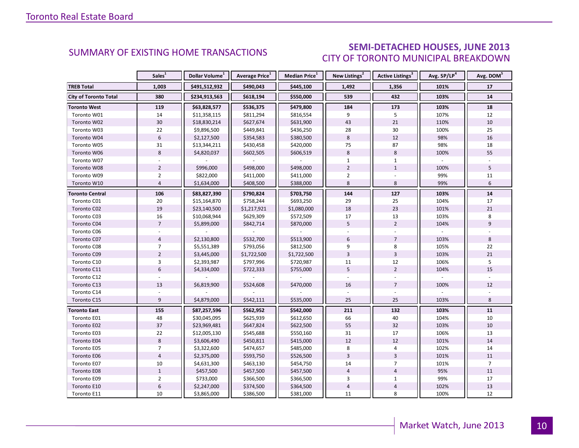### SEMI-DETACHED HOUSES, JUNE 2013 CITY OF TORONTO MUNICIPAL BREAKDOWN

<span id="page-9-0"></span>

|                              | Sales <sup>1</sup> | Dollar Volume <sup>1</sup> | Average Price <sup>1</sup> | Median Price <sup>1</sup> | New Listings <sup>2</sup> | Active Listings <sup>3</sup> | Avg. SP/LP <sup>4</sup> | Avg. DOM <sup>5</sup> |
|------------------------------|--------------------|----------------------------|----------------------------|---------------------------|---------------------------|------------------------------|-------------------------|-----------------------|
| <b>TREB Total</b>            | 1,003              | \$491,512,932              | \$490,043                  | \$445,100                 | 1,492                     | 1,356                        | 101%                    | 17                    |
| <b>City of Toronto Total</b> | 380                | \$234,913,563              | \$618,194                  | \$550,000                 | 539                       | 432                          | 103%                    | 14                    |
| <b>Toronto West</b>          | 119                | \$63,828,577               | \$536,375                  | \$479,800                 | 184                       | 173                          | 103%                    | 18                    |
| Toronto W01                  | 14                 | \$11,358,115               | \$811,294                  | \$816,554                 | 9                         | 5                            | 107%                    | 12                    |
| Toronto W02                  | 30                 | \$18,830,214               | \$627,674                  | \$631,900                 | 43                        | 21                           | 110%                    | 10                    |
| Toronto W03                  | 22                 | \$9,896,500                | \$449,841                  | \$436,250                 | 28                        | 30                           | 100%                    | 25                    |
| Toronto W04                  | $\boldsymbol{6}$   | \$2,127,500                | \$354,583                  | \$380,500                 | 8                         | 12                           | 98%                     | 16                    |
| Toronto W05                  | 31                 | \$13,344,211               | \$430,458                  | \$420,000                 | 75                        | 87                           | 98%                     | 18                    |
| Toronto W06                  | 8                  | \$4,820,037                | \$602,505                  | \$606,519                 | $\boldsymbol{8}$          | 8                            | 100%                    | 55                    |
| Toronto W07                  |                    |                            |                            |                           | $\mathbf{1}$              | $\mathbf{1}$                 |                         |                       |
| Toronto W08                  | $\overline{2}$     | \$996,000                  | \$498,000                  | \$498,000                 | $\overline{2}$            | $1\,$                        | 100%                    | 5                     |
| Toronto W09                  | $\overline{2}$     | \$822,000                  | \$411,000                  | \$411,000                 | $\overline{2}$            |                              | 99%                     | 11                    |
| Toronto W10                  | $\overline{4}$     | \$1,634,000                | \$408,500                  | \$388,000                 | 8                         | 8                            | 99%                     | 6                     |
| <b>Toronto Central</b>       | 106                | \$83,827,390               | \$790,824                  | \$703,750                 | 144                       | 127                          | 103%                    | 14                    |
| Toronto C01                  | 20                 | \$15,164,870               | \$758,244                  | \$693,250                 | 29                        | 25                           | 104%                    | 17                    |
| Toronto C02                  | 19                 | \$23,140,500               | \$1,217,921                | \$1,080,000               | 18                        | 23                           | 101%                    | 21                    |
| Toronto C03                  | 16                 | \$10,068,944               | \$629,309                  | \$572,509                 | 17                        | 13                           | 103%                    | 8                     |
| Toronto C04                  | $\overline{7}$     | \$5,899,000                | \$842,714                  | \$870,000                 | 5                         | $\overline{2}$               | 104%                    | 9                     |
| Toronto C06                  |                    |                            |                            |                           |                           |                              |                         |                       |
| Toronto C07                  | $\overline{4}$     | \$2,130,800                | \$532,700                  | \$513,900                 | 6                         | $\overline{7}$               | 103%                    | 8                     |
| Toronto C08                  | $\overline{7}$     | \$5,551,389                | \$793,056                  | \$812,500                 | 9                         | 8                            | 105%                    | 22                    |
| Toronto C09                  | $\overline{2}$     | \$3,445,000                | \$1,722,500                | \$1,722,500               | $\overline{3}$            | $\overline{3}$               | 103%                    | 21                    |
| Toronto C10                  | $\overline{3}$     | \$2,393,987                | \$797,996                  | \$720,987                 | 11                        | 12                           | 106%                    | 5                     |
| Toronto C11                  | 6                  | \$4,334,000                | \$722,333                  | \$755,000                 | 5                         | $\overline{2}$               | 104%                    | 15                    |
| Toronto C12                  |                    |                            |                            |                           |                           |                              |                         |                       |
| Toronto C13                  | 13                 | \$6,819,900                | \$524,608                  | \$470,000                 | 16                        | $\overline{7}$               | 100%                    | 12                    |
| Toronto C14                  |                    |                            |                            |                           |                           |                              |                         |                       |
| Toronto C15                  | 9                  | \$4,879,000                | \$542,111                  | \$535,000                 | 25                        | 25                           | 103%                    | 8                     |
| <b>Toronto East</b>          | 155                | \$87,257,596               | \$562,952                  | \$542,000                 | 211                       | 132                          | 103%                    | 11                    |
| Toronto E01                  | 48                 | \$30,045,095               | \$625,939                  | \$612,650                 | 66                        | 40                           | 104%                    | 10                    |
| Toronto E02                  | 37                 | \$23,969,481               | \$647,824                  | \$622,500                 | 55                        | 32                           | 103%                    | 10                    |
| Toronto E03                  | 22                 | \$12,005,130               | \$545,688                  | \$550,160                 | 31                        | 17                           | 106%                    | 13                    |
| Toronto E04                  | $\bf 8$            | \$3,606,490                | \$450,811                  | \$415,000                 | 12                        | 12                           | 101%                    | 14                    |
| Toronto E05                  | $\overline{7}$     | \$3,322,600                | \$474,657                  | \$485,000                 | 8                         | $\overline{4}$               | 102%                    | 14                    |
| Toronto E06                  | $\overline{4}$     | \$2,375,000                | \$593,750                  | \$526,500                 | $\overline{3}$            | $\overline{3}$               | 101%                    | 11                    |
| Toronto E07                  | 10                 | \$4,631,300                | \$463,130                  | \$454,750                 | 14                        | $\overline{7}$               | 101%                    | $\overline{7}$        |
| Toronto E08                  | $\mathbf{1}$       | \$457,500                  | \$457,500                  | \$457,500                 | $\overline{4}$            | $\overline{4}$               | 95%                     | 11                    |
| Toronto E09                  | $\overline{2}$     | \$733,000                  | \$366,500                  | \$366,500                 | 3                         | $\mathbf{1}$                 | 99%                     | 17                    |
| Toronto E10                  | $\boldsymbol{6}$   | \$2,247,000                | \$374,500                  | \$364,500                 | $\overline{4}$            | $\overline{4}$               | 102%                    | 13                    |
| Toronto E11                  | 10                 | \$3,865,000                | \$386,500                  | \$381,000                 | 11                        | 8                            | 100%                    | 12                    |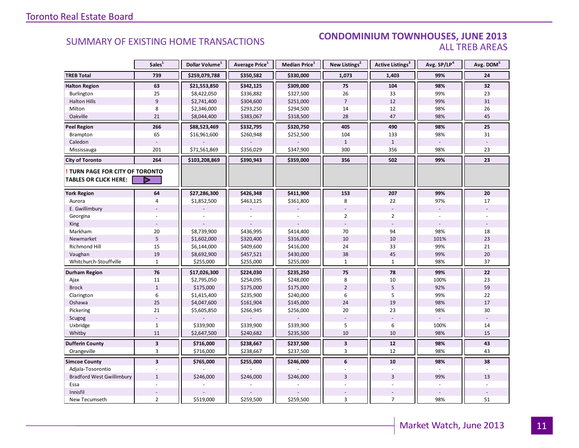#### SUMMARY OF EXISTING HOME TRANSACTIONS **CONDOMINIUM TOWNHOUSES, JUNE 2013** ALL TREB AREAS

|                                                               | Sales <sup>1</sup>      | Dollar Volume <sup>1</sup> | Average Price <sup>1</sup> | Median Price <sup>1</sup> | New Listings <sup>2</sup> | Active Listings <sup>3</sup> | Avg. SP/LP <sup>4</sup> | Avg. DOM <sup>5</sup> |
|---------------------------------------------------------------|-------------------------|----------------------------|----------------------------|---------------------------|---------------------------|------------------------------|-------------------------|-----------------------|
| <b>TREB Total</b>                                             | 739                     | \$259,079,788              | \$350,582                  | \$330,000                 | 1,073                     | 1,403                        | 99%                     | 24                    |
| <b>Halton Region</b>                                          | 63                      | \$21,553,850               | \$342,125                  | \$309,000                 | 75                        | 104                          | 98%                     | 32                    |
| Burlington                                                    | 25                      | \$8,422,050                | \$336,882                  | \$327,500                 | 26                        | 33                           | 99%                     | 23                    |
| <b>Halton Hills</b>                                           | $\overline{9}$          | \$2,741,400                | \$304,600                  | \$251,000                 | $\overline{7}$            | 12                           | 99%                     | 31                    |
| Milton                                                        | 8                       | \$2,346,000                | \$293,250                  | \$294,500                 | 14                        | 12                           | 98%                     | 26                    |
| Oakville                                                      | 21                      | \$8,044,400                | \$383,067                  | \$318,500                 | 28                        | 47                           | 98%                     | 45                    |
| <b>Peel Region</b>                                            | 266                     | \$88,523,469               | \$332,795                  | \$320,750                 | 405                       | 490                          | 98%                     | 25                    |
| Brampton                                                      | 65                      | \$16,961,600               | \$260,948                  | \$252,500                 | 104                       | 133                          | 98%                     | 31                    |
| Caledon                                                       |                         |                            |                            |                           | $\mathbf{1}$              | $\mathbf{1}$                 |                         |                       |
| Mississauga                                                   | 201                     | \$71,561,869               | \$356,029                  | \$347,900                 | 300                       | 356                          | 98%                     | 23                    |
| <b>City of Toronto</b>                                        | 264                     | \$103,208,869              | \$390,943                  | \$359,000                 | 356                       | 502                          | 99%                     | 23                    |
| <b>TURN PAGE FOR CITY OF TORONTO</b><br>TABLES OR CLICK HERE: |                         |                            |                            |                           |                           |                              |                         |                       |
| <b>York Region</b>                                            | 64                      | \$27,286,300               | \$426,348                  | \$411,900                 | 153                       | 207                          | 99%                     | 20                    |
| Aurora                                                        | 4                       | \$1,852,500                | \$463,125                  | \$361,800                 | 8                         | 22                           | 97%                     | 17                    |
| E. Gwillimbury                                                |                         |                            |                            |                           |                           |                              | $\blacksquare$          |                       |
| Georgina                                                      |                         |                            |                            |                           | $\overline{2}$            | $\overline{2}$               |                         |                       |
| King                                                          |                         |                            |                            |                           |                           |                              |                         |                       |
| Markham                                                       | 20                      | \$8,739,900                | \$436,995                  | \$414,400                 | 70                        | 94                           | 98%                     | 18                    |
| Newmarket                                                     | 5                       | \$1,602,000                | \$320,400                  | \$316,000                 | 10                        | 10                           | 101%                    | 23                    |
| <b>Richmond Hill</b>                                          | 15                      | \$6,144,000                | \$409,600                  | \$416,000                 | 24                        | 33                           | 99%                     | 21                    |
| Vaughan                                                       | 19                      | \$8,692,900                | \$457,521                  | \$430,000                 | 38                        | 45                           | 99%                     | 20                    |
| Whitchurch-Stouffville                                        | $\mathbf{1}$            | \$255,000                  | \$255,000                  | \$255,000                 | $\mathbf{1}$              | $\mathbf{1}$                 | 98%                     | 37                    |
| Durham Region                                                 | 76                      | \$17,026,300               | \$224,030                  | \$235,250                 | 75                        | 78                           | 99%                     | 22                    |
| Ajax                                                          | 11                      | \$2,795,050                | \$254,095                  | \$248,000                 | 8                         | 10                           | 100%                    | 23                    |
| <b>Brock</b>                                                  | $\mathbf{1}$            | \$175,000                  | \$175,000                  | \$175,000                 | $\overline{2}$            | 5                            | 92%                     | 59                    |
| Clarington                                                    | 6                       | \$1,415,400                | \$235,900                  | \$240,000                 | 6                         | 5                            | 99%                     | 22                    |
| Oshawa                                                        | 25                      | \$4,047,600                | \$161,904                  | \$145,000                 | 24                        | 19                           | 98%                     | 17                    |
| Pickering                                                     | 21                      | \$5,605,850                | \$266,945                  | \$256,000                 | 20                        | 23                           | 98%                     | 30                    |
| Scugog                                                        |                         |                            |                            |                           |                           |                              |                         |                       |
| Uxbridge                                                      | $\mathbf{1}$            | \$339,900                  | \$339,900                  | \$339,900                 | 5                         | 6                            | 100%                    | 14                    |
| Whitby                                                        | $11\,$                  | \$2,647,500                | \$240,682                  | \$235,500                 | 10                        | 10                           | 98%                     | 15                    |
| <b>Dufferin County</b>                                        | $\overline{\mathbf{3}}$ | \$716,000                  | \$238,667                  | \$237,500                 | $\mathbf{3}$              | 12                           | 98%                     | 43                    |
| Orangeville                                                   | 3                       | \$716,000                  | \$238,667                  | \$237,500                 | 3                         | 12                           | 98%                     | 43                    |
| <b>Simcoe County</b>                                          | $\overline{3}$          | \$765,000                  | \$255,000                  | \$246,000                 | 6                         | 10                           | 98%                     | 38                    |
| Adjala-Tosorontio                                             |                         |                            |                            |                           |                           |                              |                         |                       |
| <b>Bradford West Gwillimbury</b>                              | $\mathbf{1}$            | \$246,000                  | \$246,000                  | \$246,000                 | $\overline{3}$            | $\overline{3}$               | 99%                     | 13                    |
| Essa                                                          |                         |                            |                            |                           |                           |                              |                         |                       |
| Innisfil                                                      |                         |                            |                            |                           |                           |                              |                         |                       |
| New Tecumseth                                                 | $\overline{2}$          | \$519,000                  | \$259,500                  | \$259,500                 | 3                         | $\overline{7}$               | 98%                     | 51                    |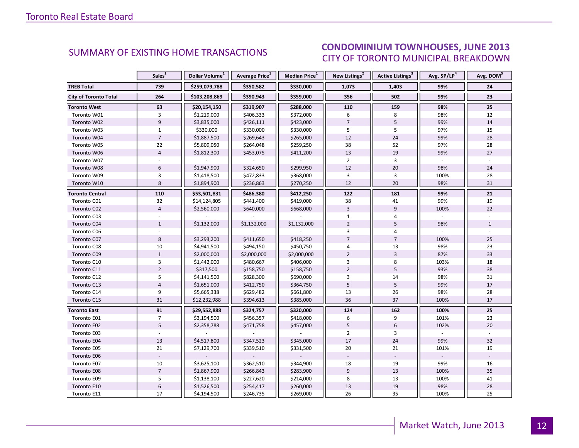#### **INDUSTRIAL LEASE CONTROL**<br>Industrial Lease Control Control Control Control Control Control Control Control Control Control Control Contr<br>Industrial Control Control Control Control Control Control Control Control Control C CITY OF TORONTO MUNICIPAL BREAKDOWN **SUMMARY OF EXISTING HOME TRANSACTIONS CONDOMINIUM TOWNHOUSES, JUNE 2013**

<span id="page-11-0"></span>

|                              | Sales <sup>1</sup> | Dollar Volume <sup>1</sup> | Average Price <sup>1</sup> | Median Price <sup>1</sup> | New Listings <sup>2</sup> | Active Listings <sup>3</sup> | Avg. SP/LP <sup>4</sup> | Avg. DOM <sup>5</sup> |
|------------------------------|--------------------|----------------------------|----------------------------|---------------------------|---------------------------|------------------------------|-------------------------|-----------------------|
| <b>TREB Total</b>            | 739                | \$259,079,788              | \$350,582                  | \$330,000                 | 1,073                     | 1,403                        | 99%                     | 24                    |
| <b>City of Toronto Total</b> | 264                | \$103,208,869              | \$390,943                  | \$359,000                 | 356                       | 502                          | 99%                     | 23                    |
| <b>Toronto West</b>          | 63                 | \$20,154,150               | \$319,907                  | \$288,000                 | 110                       | 159                          | 98%                     | 25                    |
| Toronto W01                  | 3                  | \$1,219,000                | \$406,333                  | \$372,000                 | 6                         | 8                            | 98%                     | 12                    |
| Toronto W02                  | 9                  | \$3,835,000                | \$426,111                  | \$423,000                 | $\overline{7}$            | 5                            | 99%                     | 14                    |
| Toronto W03                  | $\mathbf{1}$       | \$330,000                  | \$330,000                  | \$330,000                 | 5                         | 5                            | 97%                     | 15                    |
| Toronto W04                  | $\overline{7}$     | \$1,887,500                | \$269,643                  | \$265,000                 | 12                        | 24                           | 99%                     | 28                    |
| Toronto W05                  | 22                 | \$5,809,050                | \$264,048                  | \$259,250                 | 38                        | 52                           | 97%                     | 28                    |
| Toronto W06                  | $\overline{4}$     | \$1,812,300                | \$453,075                  | \$411,200                 | 13                        | 19                           | 99%                     | 27                    |
| Toronto W07                  | $\sim$             |                            |                            |                           | $\overline{2}$            | 3                            |                         |                       |
| Toronto W08                  | 6                  | \$1,947,900                | \$324,650                  | \$299,950                 | 12                        | 20                           | 98%                     | 24                    |
| Toronto W09                  | 3                  | \$1,418,500                | \$472,833                  | \$368,000                 | 3                         | 3                            | 100%                    | 28                    |
| Toronto W10                  | 8                  | \$1,894,900                | \$236,863                  | \$270,250                 | 12                        | 20                           | 98%                     | 31                    |
| <b>Toronto Central</b>       | 110                | \$53,501,831               | \$486,380                  | \$412,250                 | 122                       | 181                          | 99%                     | 21                    |
| Toronto C01                  | 32                 | \$14,124,805               | \$441,400                  | \$419,000                 | 38                        | 41                           | 99%                     | 19                    |
| Toronto C02                  | $\overline{4}$     | \$2,560,000                | \$640,000                  | \$668,000                 | $\overline{3}$            | 9                            | 100%                    | 22                    |
| Toronto C03                  |                    |                            |                            |                           | $\mathbf{1}$              | 4                            |                         |                       |
| Toronto C04                  | $\mathbf{1}$       | \$1,132,000                | \$1,132,000                | \$1,132,000               | $\overline{2}$            | 5                            | 98%                     | $\mathbf{1}$          |
| Toronto C06                  |                    |                            |                            |                           | 3                         | $\overline{4}$               |                         |                       |
| Toronto C07                  | 8                  | \$3,293,200                | \$411,650                  | \$418,250                 | $\overline{7}$            | $\overline{7}$               | 100%                    | 25                    |
| Toronto C08                  | 10                 | \$4,941,500                | \$494,150                  | \$450,750                 | 4                         | 13                           | 98%                     | 23                    |
| Toronto C09                  | $\mathbf{1}$       | \$2,000,000                | \$2,000,000                | \$2,000,000               | $\overline{2}$            | $\overline{3}$               | 87%                     | 33                    |
| Toronto C10                  | 3                  | \$1,442,000                | \$480,667                  | \$406,000                 | 3                         | 8                            | 103%                    | 18                    |
| Toronto C11                  | $\overline{2}$     | \$317,500                  | \$158,750                  | \$158,750                 | $\overline{2}$            | 5                            | 93%                     | 38                    |
| Toronto C12                  | 5                  | \$4,141,500                | \$828,300                  | \$690,000                 | 3                         | 14                           | 98%                     | 31                    |
| Toronto C13                  | $\overline{4}$     | \$1,651,000                | \$412,750                  | \$364,750                 | 5                         | 5                            | 99%                     | 17                    |
| Toronto C14                  | 9                  | \$5,665,338                | \$629,482                  | \$661,800                 | 13                        | 26                           | 98%                     | 28                    |
| Toronto C15                  | 31                 | \$12,232,988               | \$394,613                  | \$385,000                 | 36                        | 37                           | 100%                    | 17                    |
| <b>Toronto East</b>          | 91                 | \$29,552,888               | \$324,757                  | \$320,000                 | 124                       | 162                          | 100%                    | 25                    |
| Toronto E01                  | $\overline{7}$     | \$3,194,500                | \$456,357                  | \$418,000                 | 6                         | 9                            | 101%                    | 23                    |
| Toronto E02                  | 5                  | \$2,358,788                | \$471,758                  | \$457,000                 | 5                         | $\boldsymbol{6}$             | 102%                    | 20                    |
| Toronto E03                  |                    |                            |                            |                           | $\overline{2}$            | 3                            |                         |                       |
| Toronto E04                  | 13                 | \$4,517,800                | \$347,523                  | \$345,000                 | 17                        | 24                           | 99%                     | 32                    |
| Toronto E05                  | 21                 | \$7,129,700                | \$339,510                  | \$331,500                 | 20                        | 21                           | 101%                    | 19                    |
| Toronto E06                  |                    |                            |                            |                           |                           |                              |                         |                       |
| Toronto E07                  | $10\,$             | \$3,625,100                | \$362,510                  | \$344,900                 | 18                        | 19                           | 99%                     | 16                    |
| Toronto E08                  | $\overline{7}$     | \$1,867,900                | \$266,843                  | \$283,900                 | 9                         | 13                           | 100%                    | 35                    |
| Toronto E09                  | 5                  | \$1,138,100                | \$227,620                  | \$214,000                 | 8                         | 13                           | 100%                    | 41                    |
| Toronto E10                  | $\boldsymbol{6}$   | \$1,526,500                | \$254,417                  | \$260,000                 | 13                        | 19                           | 98%                     | 28                    |
| Toronto E11                  | 17                 | \$4,194,500                | \$246,735                  | \$269,000                 | 26                        | 35                           | 100%                    | 25                    |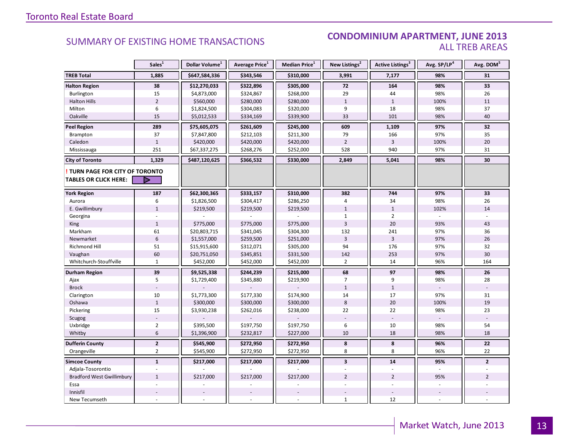#### **Industrial Leasing SUMMARY OF EXISTING HOME TRANSACTIONS CONDOMINIUM APARTMENT, JUNE 2013** ALL TREB AREAS

|                                  | Sales <sup>1</sup> | Dollar Volume <sup>1</sup> | Average Price <sup>1</sup> | Median Price <sup>1</sup> | New Listings <sup>2</sup> | Active Listings <sup>3</sup> | Avg. SP/LP <sup>4</sup> | Avg. DOM <sup>5</sup> |
|----------------------------------|--------------------|----------------------------|----------------------------|---------------------------|---------------------------|------------------------------|-------------------------|-----------------------|
| <b>TREB Total</b>                | 1,885              | \$647,584,336              | \$343,546                  | \$310,000                 | 3,991                     | 7,177                        | 98%                     | 31                    |
| <b>Halton Region</b>             | 38                 | \$12,270,033               | \$322,896                  | \$305,000                 | 72                        | 164                          | 98%                     | 33                    |
| <b>Burlington</b>                | 15                 | \$4,873,000                | \$324,867                  | \$268,000                 | 29                        | 44                           | 98%                     | 26                    |
| <b>Halton Hills</b>              | $\overline{2}$     | \$560,000                  | \$280,000                  | \$280,000                 | $\mathbf{1}$              | $\mathbf{1}$                 | 100%                    | 11                    |
| Milton                           | 6                  | \$1,824,500                | \$304,083                  | \$320,000                 | 9                         | 18                           | 98%                     | 37                    |
| Oakville                         | 15                 | \$5,012,533                | \$334,169                  | \$339,900                 | 33                        | 101                          | 98%                     | 40                    |
| <b>Peel Region</b>               | 289                | \$75,605,075               | \$261,609                  | \$245,000                 | 609                       | 1,109                        | 97%                     | 32                    |
| Brampton                         | 37                 | \$7,847,800                | \$212,103                  | \$211,300                 | 79                        | 166                          | 97%                     | 35                    |
| Caledon                          | $\mathbf{1}$       | \$420,000                  | \$420,000                  | \$420,000                 | $\overline{2}$            | $\overline{3}$               | 100%                    | 20                    |
| Mississauga                      | 251                | \$67,337,275               | \$268,276                  | \$252,000                 | 528                       | 940                          | 97%                     | 31                    |
| <b>City of Toronto</b>           | 1,329              | \$487,120,625              | \$366,532                  | \$330,000                 | 2,849                     | 5,041                        | 98%                     | 30                    |
| TURN PAGE FOR CITY OF TORONTO    |                    |                            |                            |                           |                           |                              |                         |                       |
| TABLES OR CLICK HERE:            | D                  |                            |                            |                           |                           |                              |                         |                       |
| <b>York Region</b>               | 187                | \$62,300,365               | \$333,157                  | \$310,000                 | 382                       | 744                          | 97%                     | 33                    |
| Aurora                           | 6                  | \$1,826,500                | \$304,417                  | \$286,250                 | 4                         | 34                           | 98%                     | 26                    |
| E. Gwillimbury                   | $\mathbf{1}$       | \$219,500                  | \$219,500                  | \$219,500                 | $\mathbf{1}$              | $\mathbf 1$                  | 102%                    | 14                    |
| Georgina                         |                    |                            |                            |                           | $\mathbf{1}$              | $\overline{2}$               |                         |                       |
| <b>King</b>                      | $\mathbf{1}$       | \$775,000                  | \$775,000                  | \$775,000                 | $\overline{3}$            | 20                           | 93%                     | 43                    |
| Markham                          | 61                 | \$20,803,715               | \$341,045                  | \$304,300                 | 132                       | 241                          | 97%                     | 36                    |
| Newmarket                        | $6\phantom{1}$     | \$1,557,000                | \$259,500                  | \$251,000                 | $\overline{3}$            | $\overline{3}$               | 97%                     | 26                    |
| <b>Richmond Hill</b>             | 51                 | \$15,915,600               | \$312,071                  | \$305,000                 | 94                        | 176                          | 97%                     | 32                    |
| Vaughan                          | 60                 | \$20,751,050               | \$345,851                  | \$331,500                 | 142                       | 253                          | 97%                     | 30                    |
| Whitchurch-Stouffville           | $\mathbf{1}$       | \$452,000                  | \$452,000                  | \$452,000                 | $\overline{2}$            | 14                           | 96%                     | 164                   |
| <b>Durham Region</b>             | 39                 | \$9,525,338                | \$244,239                  | \$215,000                 | 68                        | 97                           | 98%                     | 26                    |
| Ajax                             | 5                  | \$1,729,400                | \$345,880                  | \$219,900                 | $\overline{7}$            | 9                            | 98%                     | 28                    |
| <b>Brock</b>                     |                    |                            |                            |                           | $\mathbf{1}$              | $\mathbf{1}$                 |                         |                       |
| Clarington                       | 10                 | \$1,773,300                | \$177,330                  | \$174,900                 | 14                        | 17                           | 97%                     | 31                    |
| Oshawa                           | $\mathbf{1}$       | \$300,000                  | \$300,000                  | \$300,000                 | 8                         | 20                           | 100%                    | 19                    |
| Pickering                        | 15                 | \$3,930,238                | \$262,016                  | \$238,000                 | 22                        | 22                           | 98%                     | 23                    |
| Scugog                           |                    |                            |                            |                           |                           |                              |                         |                       |
| Uxbridge                         | $\overline{2}$     | \$395,500                  | \$197,750                  | \$197,750                 | 6                         | 10                           | 98%                     | 54                    |
| Whitby                           | 6                  | \$1,396,900                | \$232,817                  | \$227,000                 | 10                        | 18                           | 98%                     | 18                    |
| <b>Dufferin County</b>           | $\overline{2}$     | \$545,900                  | \$272,950                  | \$272,950                 | 8                         | 8                            | 96%                     | 22                    |
| Orangeville                      | $\overline{2}$     | \$545,900                  | \$272,950                  | \$272,950                 | 8                         | 8                            | 96%                     | 22                    |
| <b>Simcoe County</b>             | $\mathbf{1}$       | \$217,000                  | \$217,000                  | \$217,000                 | $\mathbf{3}$              | 14                           | 95%                     | $\overline{2}$        |
| Adjala-Tosorontio                |                    |                            |                            |                           |                           |                              |                         |                       |
| <b>Bradford West Gwillimbury</b> | $\mathbf{1}$       | \$217,000                  | \$217,000                  | \$217,000                 | $\overline{2}$            | $\overline{2}$               | 95%                     | $\overline{2}$        |
| Essa                             |                    |                            |                            |                           |                           |                              |                         |                       |
| Innisfil                         |                    |                            |                            |                           |                           |                              |                         |                       |
| New Tecumseth                    |                    |                            |                            |                           | $\mathbf{1}$              | 12                           |                         |                       |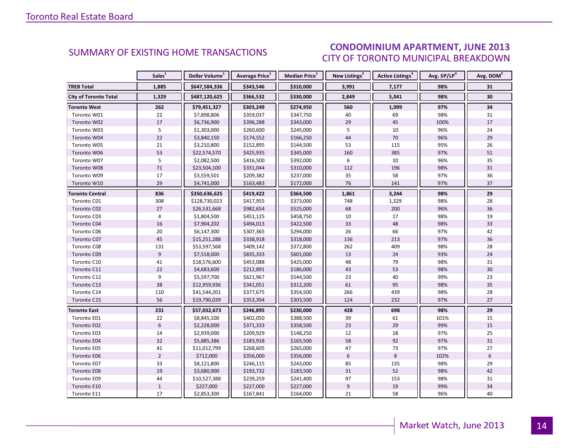### CONDOMINIUM APARTMENT, JUNE 2013 CITY OF TORONTO MUNICIPAL BREAKDOWN

<span id="page-13-0"></span>

|                              | Sales <sup>1</sup> | Dollar Volume <sup>1</sup> | Average Price <sup>1</sup> | Median Price <sup>1</sup> | New Listings <sup>2</sup> | Active Listings <sup>3</sup> | Avg. SP/LP <sup>4</sup> | Avg. DOM <sup>5</sup> |
|------------------------------|--------------------|----------------------------|----------------------------|---------------------------|---------------------------|------------------------------|-------------------------|-----------------------|
| <b>TREB Total</b>            | 1,885              | \$647,584,336              | \$343,546                  | \$310,000                 | 3,991                     | 7,177                        | 98%                     | 31                    |
| <b>City of Toronto Total</b> | 1,329              | \$487,120,625              | \$366,532                  | \$330,000                 | 2,849                     | 5,041                        | 98%                     | 30                    |
| Toronto West                 | 262                | \$79,451,327               | \$303,249                  | \$274,950                 | 560                       | 1,099                        | 97%                     | 34                    |
| Toronto W01                  | 22                 | \$7,898,806                | \$359,037                  | \$347,750                 | 40                        | 69                           | 98%                     | 31                    |
| Toronto W02                  | 17                 | \$6,736,900                | \$396,288                  | \$343,000                 | 29                        | 45                           | 100%                    | 17                    |
| Toronto W03                  | 5                  | \$1,303,000                | \$260,600                  | \$245,000                 | 5                         | 10                           | 96%                     | 24                    |
| Toronto W04                  | 22                 | \$3,840,150                | \$174,552                  | \$166,250                 | 44                        | $70\,$                       | 96%                     | 29                    |
| Toronto W05                  | 21                 | \$3,210,800                | \$152,895                  | \$144,500                 | 53                        | 115                          | 95%                     | 26                    |
| Toronto W06                  | 53                 | \$22,574,570               | \$425,935                  | \$345,000                 | 160                       | 385                          | 97%                     | 51                    |
| Toronto W07                  | 5                  | \$2,082,500                | \$416,500                  | \$392,000                 | 6                         | 10                           | 96%                     | 35                    |
| Toronto W08                  | $71\,$             | \$23,504,100               | \$331,044                  | \$310,000                 | 112                       | 196                          | 98%                     | 31                    |
| Toronto W09                  | 17                 | \$3,559,501                | \$209,382                  | \$237,000                 | 35                        | 58                           | 97%                     | 36                    |
| Toronto W10                  | 29                 | \$4,741,000                | \$163,483                  | \$172,000                 | 76                        | 141                          | 97%                     | 37                    |
| <b>Toronto Central</b>       | 836                | \$350,636,625              | \$419,422                  | \$364,500                 | 1,861                     | 3,244                        | 98%                     | 29                    |
| Toronto C01                  | 308                | \$128,730,023              | \$417,955                  | \$373,000                 | 748                       | 1,329                        | 98%                     | 28                    |
| Toronto C02                  | 27                 | \$26,531,668               | \$982,654                  | \$525,000                 | 68                        | 200                          | 96%                     | 36                    |
| Toronto C03                  | $\overline{4}$     | \$1,804,500                | \$451,125                  | \$458,750                 | 10                        | 17                           | 98%                     | 19                    |
| Toronto C04                  | 16                 | \$7,904,202                | \$494,013                  | \$422,500                 | 33                        | 48                           | 98%                     | 33                    |
| Toronto C06                  | $20\,$             | \$6,147,300                | \$307,365                  | \$294,000                 | 26                        | 66                           | 97%                     | 42                    |
| Toronto C07                  | 45                 | \$15,251,288               | \$338,918                  | \$318,000                 | 136                       | 213                          | 97%                     | 36                    |
| Toronto C08                  | 131                | \$53,597,568               | \$409,142                  | \$372,800                 | 262                       | 409                          | 98%                     | 28                    |
| Toronto C09                  | 9                  | \$7,518,000                | \$835,333                  | \$601,000                 | 13                        | 24                           | 93%                     | 24                    |
| Toronto C10                  | 41                 | \$18,576,600               | \$453,088                  | \$425,000                 | 48                        | 79                           | 98%                     | 31                    |
| Toronto C11                  | 22                 | \$4,683,600                | \$212,891                  | \$186,000                 | 43                        | 53                           | 98%                     | 30                    |
| Toronto C12                  | 9                  | \$5,597,700                | \$621,967                  | \$544,500                 | 23                        | 40                           | 99%                     | 23                    |
| Toronto C13                  | 38                 | \$12,959,936               | \$341,051                  | \$312,200                 | 61                        | 95                           | 98%                     | 35                    |
| Toronto C14                  | 110                | \$41,544,201               | \$377,675                  | \$354,500                 | 266                       | 439                          | 98%                     | 28                    |
| Toronto C15                  | 56                 | \$19,790,039               | \$353,394                  | \$303,500                 | 124                       | 232                          | 97%                     | 27                    |
| <b>Toronto East</b>          | 231                | \$57,032,673               | \$246,895                  | \$230,000                 | 428                       | 698                          | 98%                     | 29                    |
| Toronto E01                  | 22                 | \$8,845,100                | \$402,050                  | \$388,500                 | 39                        | 61                           | 101%                    | 15                    |
| Toronto E02                  | $6\phantom{1}$     | \$2,228,000                | \$371,333                  | \$358,500                 | 23                        | 29                           | 99%                     | 15                    |
| Toronto E03                  | 14                 | \$2,939,000                | \$209,929                  | \$148,250                 | 12                        | 18                           | 97%                     | 25                    |
| Toronto E04                  | 32                 | \$5,885,386                | \$183,918                  | \$165,500                 | 58                        | 92                           | 97%                     | 31                    |
| Toronto E05                  | 41                 | \$11,012,799               | \$268,605                  | \$265,000                 | 47                        | 73                           | 97%                     | 27                    |
| Toronto E06                  | $\overline{2}$     | \$712,000                  | \$356,000                  | \$356,000                 | $6\,$                     | $\,8\,$                      | 102%                    | $6\phantom{a}$        |
| Toronto E07                  | 33                 | \$8,121,800                | \$246,115                  | \$243,000                 | 85                        | 135                          | 98%                     | 29                    |
| Toronto E08                  | 19                 | \$3,680,900                | \$193,732                  | \$183,500                 | 31                        | 52                           | 98%                     | 42                    |
| Toronto E09                  | 44                 | \$10,527,388               | \$239,259                  | \$241,400                 | 97                        | 153                          | 98%                     | 31                    |
| Toronto E10                  | $\mathbf 1$        | \$227,000                  | \$227,000                  | \$227,000                 | $\boldsymbol{9}$          | 19                           | 99%                     | 34                    |
| Toronto E11                  | 17                 | \$2,853,300                | \$167,841                  | \$164,000                 | 21                        | 58                           | 96%                     | 40                    |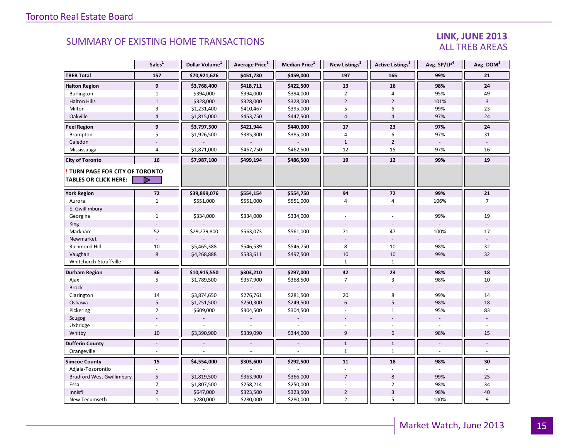#### LINK, JUNE 2013 ALL TREB AREAS

|                                  | Sales <sup>1</sup> | Dollar Volume <sup>1</sup> | Average Price <sup>1</sup> | Median Price <sup>1</sup> | New Listings <sup>2</sup> | Active Listings <sup>3</sup> | Avg. SP/LP <sup>4</sup> | Avg. DOM <sup>5</sup> |
|----------------------------------|--------------------|----------------------------|----------------------------|---------------------------|---------------------------|------------------------------|-------------------------|-----------------------|
| <b>TREB Total</b>                | 157                | \$70,921,626               | \$451,730                  | \$459,000                 | 197                       | 165                          | 99%                     | 21                    |
| <b>Halton Region</b>             | $\overline{9}$     | \$3,768,400                | \$418,711                  | \$422,500                 | 13                        | 16                           | 98%                     | ${\bf 24}$            |
| Burlington                       | $\mathbf{1}$       | \$394,000                  | \$394,000                  | \$394,000                 | $\overline{2}$            | 4                            | 95%                     | 49                    |
| <b>Halton Hills</b>              | $\mathbf{1}$       | \$328,000                  | \$328,000                  | \$328,000                 | $\overline{2}$            | $\overline{2}$               | 101%                    | $\overline{3}$        |
| Milton                           | $\overline{3}$     | \$1,231,400                | \$410,467                  | \$395,000                 | 5                         | 6                            | 99%                     | 23                    |
| Oakville                         | $\overline{4}$     | \$1,815,000                | \$453,750                  | \$447,500                 | $\overline{4}$            | $\overline{4}$               | 97%                     | 24                    |
| Peel Region                      | $\overline{9}$     | \$3,797,500                | \$421,944                  | \$440,000                 | 17                        | 23                           | 97%                     | 24                    |
| Brampton                         | 5                  | \$1,926,500                | \$385,300                  | \$385,000                 | $\overline{4}$            | 6                            | 97%                     | 31                    |
| Caledon                          |                    |                            |                            |                           | $\mathbf{1}$              | $\overline{2}$               |                         |                       |
| Mississauga                      | $\overline{4}$     | \$1,871,000                | \$467,750                  | \$462,500                 | 12                        | 15                           | 97%                     | 16                    |
| <b>City of Toronto</b>           | 16                 | \$7,987,100                | \$499,194                  | \$486,500                 | 19                        | 12                           | 99%                     | 19                    |
| TURN PAGE FOR CITY OF TORONTO    |                    |                            |                            |                           |                           |                              |                         |                       |
| <b>TABLES OR CLICK HERE:</b>     | D                  |                            |                            |                           |                           |                              |                         |                       |
| <b>York Region</b>               | 72                 | \$39,899,076               | \$554,154                  | \$554,750                 | 94                        | 72                           | 99%                     | 21                    |
| Aurora                           | $\mathbf{1}$       | \$551,000                  | \$551,000                  | \$551,000                 | 4                         | $\sqrt{4}$                   | 106%                    | $\overline{7}$        |
| E. Gwillimbury                   |                    |                            |                            |                           |                           |                              |                         |                       |
| Georgina                         | $\mathbf{1}$       | \$334,000                  | \$334,000                  | \$334,000                 |                           |                              | 99%                     | 19                    |
| King                             |                    |                            |                            |                           |                           |                              |                         |                       |
| Markham                          | 52                 | \$29,279,800               | \$563,073                  | \$561,000                 | 71                        | 47                           | 100%                    | 17                    |
| Newmarket                        |                    |                            |                            |                           |                           |                              |                         |                       |
| Richmond Hill                    | $10\,$             | \$5,465,388                | \$546,539                  | \$546,750                 | 8                         | 10                           | 98%                     | 32                    |
| Vaughan                          | $\bf 8$            | \$4,268,888                | \$533,611                  | \$497,500                 | $10\,$                    | 10                           | 99%                     | 32                    |
| Whitchurch-Stouffville           |                    |                            |                            |                           | $\mathbf{1}$              | $\mathbf{1}$                 |                         |                       |
| Durham Region                    | 36                 | \$10,915,550               | \$303,210                  | \$297,000                 | 42                        | 23                           | 98%                     | 18                    |
| Ajax                             | 5                  | \$1,789,500                | \$357,900                  | \$368,500                 | $\overline{7}$            | 3                            | 98%                     | 10                    |
| <b>Brock</b>                     |                    |                            |                            |                           |                           |                              |                         |                       |
| Clarington                       | 14                 | \$3,874,650                | \$276,761                  | \$281,500                 | $20\,$                    | 8                            | 99%                     | $14\,$                |
| Oshawa                           | $\sqrt{5}$         | \$1,251,500                | \$250,300                  | \$249,500                 | $6\,$                     | 5                            | 98%                     | 18                    |
| Pickering                        | $\overline{2}$     | \$609,000                  | \$304,500                  | \$304,500                 | $\overline{a}$            | $\mathbf{1}$                 | 95%                     | 83                    |
| Scugog                           |                    |                            |                            |                           |                           |                              |                         |                       |
| Uxbridge                         |                    |                            |                            |                           |                           |                              |                         |                       |
| Whitby                           | 10                 | \$3,390,900                | \$339,090                  | \$344,000                 | 9                         | 6                            | 98%                     | 15                    |
| <b>Dufferin County</b>           | $\blacksquare$     |                            |                            |                           | $\mathbf{1}$              | $\mathbf{1}$                 | $\blacksquare$          | $\blacksquare$        |
| Orangeville                      |                    |                            |                            |                           | $\mathbf{1}$              | $\mathbf{1}$                 |                         |                       |
| <b>Simcoe County</b>             | 15                 | \$4,554,000                | \$303,600                  | \$292,500                 | 11                        | 18                           | 98%                     | 30                    |
| Adjala-Tosorontio                |                    |                            |                            |                           |                           |                              |                         |                       |
| <b>Bradford West Gwillimbury</b> | 5                  | \$1,819,500                | \$363,900                  | \$366,000                 | $\overline{7}$            | 8                            | 99%                     | 25                    |
| Essa                             | $\overline{7}$     | \$1,807,500                | \$258,214                  | \$250,000                 |                           | $\overline{2}$               | 98%                     | 34                    |
| Innisfil                         | $\overline{2}$     | \$647,000                  | \$323,500                  | \$323,500                 | $\overline{2}$            | $\mathbf{3}$                 | 98%                     | 40                    |
| New Tecumseth                    | $\mathbf{1}$       | \$280,000                  | \$280,000                  | \$280,000                 | $\overline{2}$            | 5                            | 100%                    | 9                     |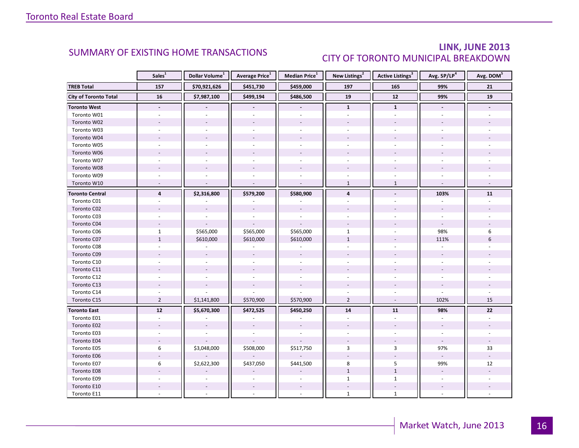### LINK, JUNE 2013 CITY OF TORONTO MUNICIPAL BREAKDOWN

<span id="page-15-0"></span>

|                        | Sales <sup>1</sup>       | Dollar Volume <sup>1</sup> | Average Price <sup>1</sup> | Median Price <sup>1</sup> | New Listings <sup>2</sup> | Active Listings <sup>3</sup> | Avg. SP/LP <sup>4</sup>  | Avg. DOM <sup>5</sup> |
|------------------------|--------------------------|----------------------------|----------------------------|---------------------------|---------------------------|------------------------------|--------------------------|-----------------------|
| <b>TREB Total</b>      | 157                      | \$70,921,626               | \$451,730                  | \$459,000                 | 197                       | 165                          | 99%                      | 21                    |
| City of Toronto Total  | 16                       | \$7,987,100                | \$499,194                  | \$486,500                 | 19                        | $12\,$                       | 99%                      | 19                    |
| <b>Toronto West</b>    | $\overline{\phantom{a}}$ |                            |                            | $\blacksquare$            | $\mathbf{1}$              | $\mathbf{1}$                 | $\overline{\phantom{a}}$ |                       |
| Toronto W01            |                          |                            |                            |                           |                           |                              |                          |                       |
| Toronto W02            |                          |                            |                            | $\overline{a}$            |                           |                              |                          |                       |
| Toronto W03            | ÷.                       |                            |                            |                           |                           | $\sim$                       |                          |                       |
| Toronto W04            |                          |                            |                            |                           |                           |                              |                          |                       |
| Toronto W05            |                          |                            |                            |                           |                           |                              |                          |                       |
| Toronto W06            |                          |                            |                            |                           |                           |                              |                          |                       |
| Toronto W07            |                          |                            |                            |                           |                           |                              |                          |                       |
| Toronto W08            |                          |                            |                            |                           |                           |                              |                          |                       |
| Toronto W09            |                          |                            |                            |                           |                           |                              |                          |                       |
| Toronto W10            | $\overline{a}$           |                            |                            | $\overline{a}$            | $\mathbf{1}$              | $\mathbf{1}$                 |                          |                       |
| <b>Toronto Central</b> | $\overline{4}$           | \$2,316,800                | \$579,200                  | \$580,900                 | $\overline{\mathbf{4}}$   |                              | 103%                     | 11                    |
| Toronto C01            |                          |                            |                            |                           |                           |                              |                          |                       |
| Toronto C02            |                          |                            |                            |                           |                           |                              |                          |                       |
| Toronto C03            |                          |                            |                            |                           |                           |                              |                          |                       |
| Toronto C04            |                          |                            |                            |                           |                           |                              |                          |                       |
| Toronto C06            | $\mathbf{1}$             | \$565,000                  | \$565,000                  | \$565,000                 | $\mathbf{1}$              |                              | 98%                      | 6                     |
| Toronto C07            | $\mathbf{1}$             | \$610,000                  | \$610,000                  | \$610,000                 | $\mathbf{1}$              |                              | 111%                     | 6                     |
| Toronto C08            |                          |                            |                            |                           |                           |                              |                          |                       |
| Toronto C09            |                          |                            |                            |                           |                           |                              |                          |                       |
| Toronto C10            |                          |                            |                            |                           |                           |                              |                          |                       |
| Toronto C11            |                          |                            |                            |                           |                           |                              |                          |                       |
| Toronto C12            |                          |                            |                            |                           |                           |                              |                          |                       |
| Toronto C13            |                          |                            |                            |                           |                           |                              |                          |                       |
| Toronto C14            |                          |                            |                            |                           |                           | L.                           |                          |                       |
| Toronto C15            | $\overline{2}$           | \$1,141,800                | \$570,900                  | \$570,900                 | $\overline{2}$            | $\omega$                     | 102%                     | 15                    |
| <b>Toronto East</b>    | $\overline{12}$          | \$5,670,300                | \$472,525                  | \$450,250                 | 14                        | ${\bf 11}$                   | 98%                      | 22                    |
| Toronto E01            | $\omega$                 |                            |                            |                           | $\sim$                    | ÷.                           |                          |                       |
| Toronto E02            |                          |                            |                            |                           |                           |                              |                          |                       |
| Toronto E03            |                          |                            |                            |                           |                           |                              |                          |                       |
| Toronto E04            |                          |                            |                            |                           |                           |                              | $\omega$                 |                       |
| Toronto E05            | 6                        | \$3,048,000                | \$508,000                  | \$517,750                 | 3                         | 3                            | 97%                      | 33                    |
| Toronto E06            |                          |                            |                            |                           |                           |                              | $\sim$                   |                       |
| Toronto E07            | 6                        | \$2,622,300                | \$437,050                  | \$441,500                 | 8                         | 5                            | 99%                      | 12                    |
| Toronto E08            |                          |                            |                            |                           | $\mathbf{1}$              | $\mathbf{1}$                 | $\omega$                 |                       |
| Toronto E09            |                          |                            |                            |                           | $\mathbf{1}$              | $\mathbf{1}$                 |                          |                       |
| Toronto E10            |                          |                            |                            |                           |                           |                              |                          |                       |
| Toronto E11            |                          |                            |                            |                           | $\mathbf{1}$              | $\mathbf{1}$                 |                          |                       |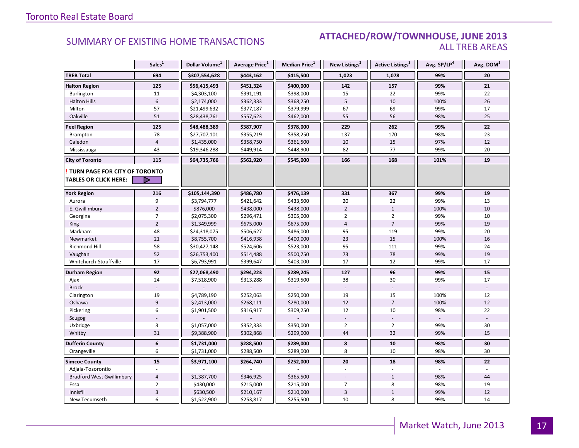#### SUMMARY OF EXISTING HOME TRANSACTIONS **ATTACHED/ROW/TOWNHOUSE, JUNE 2013** ALL TREB AREAS

|                                  | Sales <sup>1</sup> | Dollar Volume <sup>1</sup> | Average Price <sup>1</sup> | Median Price <sup>1</sup> | New Listings <sup>2</sup> | Active Listings <sup>3</sup> | Avg. SP/LP <sup>4</sup> | Avg. DOM <sup>5</sup> |
|----------------------------------|--------------------|----------------------------|----------------------------|---------------------------|---------------------------|------------------------------|-------------------------|-----------------------|
| <b>TREB Total</b>                | 694                | \$307,554,628              | \$443,162                  | \$415,500                 | 1,023                     | 1,078                        | 99%                     | 20                    |
| <b>Halton Region</b>             | 125                | \$56,415,493               | \$451,324                  | \$400,000                 | 142                       | 157                          | 99%                     | 21                    |
| Burlington                       | 11                 | \$4,303,100                | \$391,191                  | \$398,000                 | 15                        | 22                           | 99%                     | 22                    |
| <b>Halton Hills</b>              | $\boldsymbol{6}$   | \$2,174,000                | \$362,333                  | \$368,250                 | 5                         | 10                           | 100%                    | 26                    |
| Milton                           | 57                 | \$21,499,632               | \$377,187                  | \$379,999                 | 67                        | 69                           | 99%                     | 17                    |
| Oakville                         | 51                 | \$28,438,761               | \$557,623                  | \$462,000                 | 55                        | 56                           | 98%                     | 25                    |
| <b>Peel Region</b>               | 125                | \$48,488,389               | \$387,907                  | \$378,000                 | 229                       | 262                          | 99%                     | 22                    |
| Brampton                         | 78                 | \$27,707,101               | \$355,219                  | \$358,250                 | 137                       | 170                          | 98%                     | 23                    |
| Caledon                          | $\overline{4}$     | \$1,435,000                | \$358,750                  | \$361,500                 | 10                        | 15                           | 97%                     | 12                    |
| Mississauga                      | 43                 | \$19,346,288               | \$449,914                  | \$448,900                 | 82                        | 77                           | 99%                     | 20                    |
| <b>City of Toronto</b>           | 115                | \$64,735,766               | \$562,920                  | \$545,000                 | 166                       | 168                          | 101%                    | 19                    |
| TURN PAGE FOR CITY OF TORONTO    |                    |                            |                            |                           |                           |                              |                         |                       |
| <b>TABLES OR CLICK HERE:</b>     |                    |                            |                            |                           |                           |                              |                         |                       |
| <b>York Region</b>               | 216                | \$105,144,390              | \$486,780                  | \$476,139                 | 331                       | 367                          | 99%                     | 19                    |
| Aurora                           | 9                  | \$3,794,777                | \$421,642                  | \$433,500                 | 20                        | 22                           | 99%                     | 13                    |
| E. Gwillimbury                   | $\overline{2}$     | \$876,000                  | \$438,000                  | \$438,000                 | $\overline{2}$            | $\mathbf{1}$                 | 100%                    | 10                    |
| Georgina                         | $\overline{7}$     | \$2,075,300                | \$296,471                  | \$305,000                 | $\overline{2}$            | $\overline{2}$               | 99%                     | 10                    |
| King                             | $\overline{2}$     | \$1,349,999                | \$675,000                  | \$675,000                 | $\overline{4}$            | $\overline{7}$               | 99%                     | 19                    |
| Markham                          | 48                 | \$24,318,075               | \$506,627                  | \$486,000                 | 95                        | 119                          | 99%                     | 20                    |
| Newmarket                        | 21                 | \$8,755,700                | \$416,938                  | \$400,000                 | 23                        | 15                           | 100%                    | 16                    |
| <b>Richmond Hill</b>             | 58                 | \$30,427,148               | \$524,606                  | \$523,000                 | 95                        | 111                          | 99%                     | 24                    |
| Vaughan                          | 52                 | \$26,753,400               | \$514,488                  | \$500,750                 | 73                        | 78                           | 99%                     | 19                    |
| Whitchurch-Stouffville           | 17                 | \$6,793,991                | \$399,647                  | \$403,000                 | 17                        | 12                           | 99%                     | 17                    |
| <b>Durham Region</b>             | 92                 | \$27,068,490               | \$294,223                  | \$289,245                 | 127                       | 96                           | 99%                     | 15                    |
| Ajax                             | 24                 | \$7,518,900                | \$313,288                  | \$319,500                 | 38                        | 30                           | 99%                     | 17                    |
| <b>Brock</b>                     |                    |                            |                            |                           |                           |                              |                         |                       |
| Clarington                       | 19                 | \$4,789,190                | \$252,063                  | \$250,000                 | 19                        | 15                           | 100%                    | 12                    |
| Oshawa                           | $\overline{9}$     | \$2,413,000                | \$268,111                  | \$280,000                 | 12                        | $\overline{7}$               | 100%                    | 12                    |
| Pickering                        | 6                  | \$1,901,500                | \$316,917                  | \$309,250                 | 12                        | 10                           | 98%                     | 22                    |
| Scugog                           |                    |                            |                            |                           |                           |                              |                         |                       |
| Uxbridge                         | $\overline{3}$     | \$1,057,000                | \$352,333                  | \$350,000                 | $\overline{2}$            | $\overline{2}$               | 99%                     | 30                    |
| Whitby                           | 31                 | \$9,388,900                | \$302,868                  | \$299,000                 | 44                        | 32                           | 99%                     | 15                    |
| <b>Dufferin County</b>           | $\boldsymbol{6}$   | \$1,731,000                | \$288,500                  | \$289,000                 | 8                         | 10                           | 98%                     | 30                    |
| Orangeville                      | 6                  | \$1,731,000                | \$288,500                  | \$289,000                 | 8                         | 10                           | 98%                     | 30                    |
| <b>Simcoe County</b>             | 15                 | \$3,971,100                | \$264,740                  | \$252,000                 | 20                        | 18                           | 98%                     | 22                    |
| Adjala-Tosorontio                |                    |                            |                            |                           |                           |                              |                         |                       |
| <b>Bradford West Gwillimbury</b> | $\overline{4}$     | \$1,387,700                | \$346,925                  | \$365,500                 |                           | $\mathbf{1}$                 | 98%                     | 44                    |
| Essa                             | $\overline{2}$     | \$430,000                  | \$215,000                  | \$215,000                 | $\overline{7}$            | 8                            | 98%                     | 19                    |
| Innisfil                         | $\overline{3}$     | \$630,500                  | \$210,167                  | \$210,000                 | $\overline{3}$            | $\mathbf{1}$                 | 99%                     | 12                    |
| New Tecumseth                    | 6                  | \$1,522,900                | \$253,817                  | \$255,500                 | 10                        | 8                            | 99%                     | 14                    |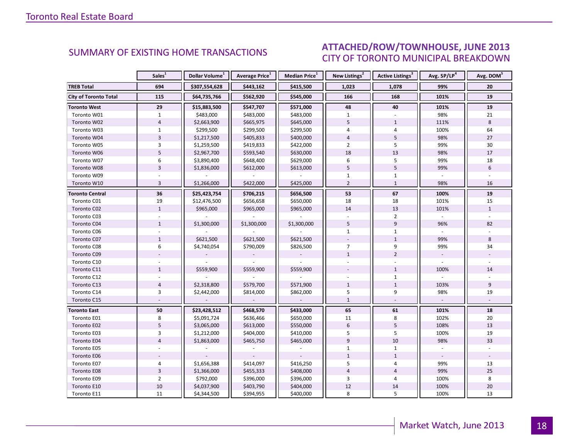#### ICE ILINE 2012 CITY OF TORONTO MUNICIPAL BREAKDOWN SUMMARY OF EXISTING HOME TRANSACTIONS **ATTACHED/ROW/TOWNHOUSE, JUNE 2013**

<span id="page-17-0"></span>

|                              | Sales <sup>1</sup> | Dollar Volume <sup>1</sup> | Average Price <sup>1</sup> | Median Price <sup>1</sup> | New Listings <sup>2</sup> | Active Listings <sup>3</sup> | Avg. SP/LP <sup>4</sup>  | Avg. DOM <sup>5</sup> |
|------------------------------|--------------------|----------------------------|----------------------------|---------------------------|---------------------------|------------------------------|--------------------------|-----------------------|
| <b>TREB Total</b>            | 694                | \$307,554,628              | \$443,162                  | \$415,500                 | 1,023                     | 1,078                        | 99%                      | 20                    |
| <b>City of Toronto Total</b> | 115                | \$64,735,766               | \$562,920                  | \$545,000                 | 166                       | 168                          | 101%                     | 19                    |
| <b>Toronto West</b>          | 29                 | \$15,883,500               | \$547,707                  | \$571,000                 | 48                        | 40                           | 101%                     | 19                    |
| Toronto W01                  | $\mathbf{1}$       | \$483,000                  | \$483,000                  | \$483,000                 | $\mathbf{1}$              |                              | 98%                      | 21                    |
| Toronto W02                  | $\overline{4}$     | \$2,663,900                | \$665,975                  | \$645,000                 | 5                         | $\mathbf{1}$                 | 111%                     | 8                     |
| Toronto W03                  | $\mathbf{1}$       | \$299,500                  | \$299,500                  | \$299,500                 | $\overline{4}$            | $\overline{4}$               | 100%                     | 64                    |
| Toronto W04                  | $\overline{3}$     | \$1,217,500                | \$405,833                  | \$400,000                 | $\overline{4}$            | 5                            | 98%                      | 27                    |
| Toronto W05                  | 3                  | \$1,259,500                | \$419,833                  | \$422,000                 | $\overline{2}$            | 5                            | 99%                      | 30                    |
| Toronto W06                  | 5                  | \$2,967,700                | \$593,540                  | \$630,000                 | 18                        | 13                           | 98%                      | 17                    |
| Toronto W07                  | 6                  | \$3,890,400                | \$648,400                  | \$629,000                 | 6                         | 5                            | 99%                      | 18                    |
| Toronto W08                  | $\overline{3}$     | \$1,836,000                | \$612,000                  | \$613,000                 | 5                         | 5                            | 99%                      | $6\overline{6}$       |
| Toronto W09                  |                    |                            |                            |                           | $\mathbf{1}$              | $\mathbf{1}$                 |                          |                       |
| Toronto W10                  | $\overline{3}$     | \$1,266,000                | \$422,000                  | \$425,000                 | $\overline{2}$            | $\mathbf{1}$                 | 98%                      | 16                    |
| <b>Toronto Central</b>       | 36                 | \$25,423,754               | \$706,215                  | \$656,500                 | 53                        | 67                           | 100%                     | 19                    |
| Toronto C01                  | 19                 | \$12,476,500               | \$656,658                  | \$650,000                 | 18                        | 18                           | 101%                     | 15                    |
| Toronto C02                  | $\mathbf{1}$       | \$965,000                  | \$965,000                  | \$965,000                 | 14                        | 13                           | 101%                     | $\mathbf{1}$          |
| Toronto C03                  |                    |                            |                            |                           |                           | $\overline{2}$               |                          |                       |
| Toronto C04                  | $\mathbf{1}$       | \$1,300,000                | \$1,300,000                | \$1,300,000               | 5                         | 9                            | 96%                      | 82                    |
| Toronto C06                  |                    |                            |                            |                           | $\mathbf{1}$              | $\mathbf{1}$                 |                          |                       |
| Toronto C07                  | $\mathbf{1}$       | \$621,500                  | \$621,500                  | \$621,500                 |                           | $\mathbf{1}$                 | 99%                      | 8                     |
| Toronto C08                  | 6                  | \$4,740,054                | \$790,009                  | \$826,500                 | $\overline{7}$            | 9                            | 99%                      | 34                    |
| Toronto C09                  |                    |                            |                            |                           | $\mathbf{1}$              | $\overline{2}$               |                          |                       |
| Toronto C10                  |                    |                            |                            |                           |                           |                              |                          |                       |
| Toronto C11                  | $\mathbf{1}$       | \$559,900                  | \$559,900                  | \$559,900                 |                           | $\mathbf{1}$                 | 100%                     | 14                    |
| Toronto C12                  |                    |                            |                            |                           |                           | $\mathbf{1}$                 |                          |                       |
| Toronto C13                  | $\overline{4}$     | \$2,318,800                | \$579,700                  | \$571,900                 | $\mathbf{1}$              | $\mathbf{1}$                 | 103%                     | 9                     |
| Toronto C14                  | 3                  | \$2,442,000                | \$814,000                  | \$862,000                 | 5                         | 9                            | 98%                      | 19                    |
| Toronto C15                  |                    |                            | $\overline{\phantom{a}}$   | $\overline{\phantom{a}}$  | $\mathbf{1}$              |                              | $\overline{\phantom{a}}$ |                       |
| <b>Toronto East</b>          | 50                 | \$23,428,512               | \$468,570                  | \$433,000                 | 65                        | 61                           | 101%                     | 18                    |
| Toronto E01                  | 8                  | \$5,091,724                | \$636,466                  | \$650,000                 | 11                        | 8                            | 102%                     | 20                    |
| Toronto E02                  | 5                  | \$3,065,000                | \$613,000                  | \$550,000                 | $6\,$                     | 5                            | 108%                     | 13                    |
| Toronto E03                  | 3                  | \$1,212,000                | \$404,000                  | \$410,000                 | 5                         | 5                            | 100%                     | 19                    |
| Toronto E04                  | $\overline{4}$     | \$1,863,000                | \$465,750                  | \$465,000                 | $\overline{9}$            | 10                           | 98%                      | 33                    |
| Toronto E05                  |                    |                            |                            |                           | $\mathbf{1}$              | $\mathbf{1}$                 |                          |                       |
| Toronto E06                  |                    |                            |                            |                           | $\mathbf{1}$              | $\mathbf{1}$                 |                          |                       |
| Toronto E07                  | 4                  | \$1,656,388                | \$414,097                  | \$416,250                 | 5                         | $\overline{4}$               | 99%                      | 13                    |
| Toronto E08                  | $\overline{3}$     | \$1,366,000                | \$455,333                  | \$408,000                 | $\overline{4}$            | $\overline{4}$               | 99%                      | 25                    |
| Toronto E09                  | $\overline{2}$     | \$792,000                  | \$396,000                  | \$396,000                 | 3                         | 4                            | 100%                     | 8                     |
| Toronto E10                  | $10\,$             | \$4,037,900                | \$403,790                  | \$404,000                 | 12                        | 14                           | 100%                     | 20                    |
| Toronto E11                  | 11                 | \$4,344,500                | \$394,955                  | \$400,000                 | 8                         | 5                            | 100%                     | 13                    |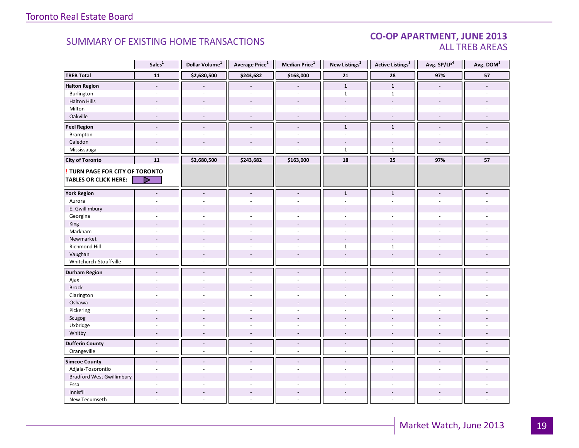#### CO-OP APARTMENT, JUNE 2013 ALL TREB AREAS

|                                  | Sales $\overline{1}$ | Dollar Volume <sup>1</sup> | Average Price <sup>1</sup> | Median Price $^1$        | New Listings <sup>2</sup> | <b>Active Listings<sup>3</sup></b> | Avg. SP/LP <sup>4</sup>  | Avg. DOM <sup>5</sup>       |
|----------------------------------|----------------------|----------------------------|----------------------------|--------------------------|---------------------------|------------------------------------|--------------------------|-----------------------------|
| <b>TREB Total</b>                | 11                   | \$2,680,500                | \$243,682                  | \$163,000                | 21                        | 28                                 | 97%                      | 57                          |
| <b>Halton Region</b>             | $\blacksquare$       |                            |                            |                          | $\mathbf{1}$              | $\mathbf{1}$                       | $\blacksquare$           |                             |
| Burlington                       |                      |                            |                            |                          | $\mathbf{1}$              | $\mathbf{1}$                       |                          |                             |
| <b>Halton Hills</b>              | $\overline{a}$       | $\overline{a}$             | $\overline{a}$             |                          | ÷                         | $\sim$                             |                          |                             |
| Milton                           | $\sim$               | $\sim$                     | $\overline{\phantom{a}}$   | $\omega$                 | ÷,                        | $\sim$                             | $\sim$                   |                             |
| Oakville                         | $\sim$               | $\overline{\phantom{a}}$   | $\overline{a}$             | $\sim$                   | $\overline{\phantom{a}}$  | $\overline{\phantom{a}}$           |                          |                             |
| <b>Peel Region</b>               | $\overline{a}$       | $\overline{a}$             | $\overline{a}$             | $\blacksquare$           | $\mathbf{1}$              | $\mathbf{1}$                       |                          |                             |
| Brampton                         | $\sim$               | $\overline{a}$             | L.                         | $\overline{a}$           | ٠                         | $\overline{a}$                     | ÷                        |                             |
| Caledon                          |                      |                            |                            |                          |                           |                                    |                          |                             |
| Mississauga                      | $\overline{a}$       |                            |                            |                          | $\mathbf{1}$              | $\mathbf{1}$                       |                          |                             |
| <b>City of Toronto</b>           | 11                   | \$2,680,500                | \$243,682                  | \$163,000                | 18                        | 25                                 | 97%                      | 57                          |
| TURN PAGE FOR CITY OF TORONTO    |                      |                            |                            |                          |                           |                                    |                          |                             |
| <b>TABLES OR CLICK HERE:</b>     | ▷                    |                            |                            |                          |                           |                                    |                          |                             |
|                                  |                      |                            |                            |                          |                           |                                    |                          |                             |
| <b>York Region</b>               | $\blacksquare$       | $\overline{\phantom{a}}$   | $\overline{\phantom{a}}$   | $\overline{\phantom{a}}$ | $\mathbf{1}$              | $\mathbf{1}$                       | $\blacksquare$           |                             |
| Aurora                           | ÷,                   | ÷.                         | ÷.                         | $\sim$                   | $\sim$                    | $\sim$                             |                          |                             |
| E. Gwillimbury                   |                      |                            |                            |                          |                           |                                    |                          |                             |
| Georgina                         | ÷.                   | $\overline{a}$             |                            |                          |                           |                                    |                          |                             |
| King                             |                      |                            |                            |                          |                           |                                    |                          |                             |
| Markham                          | $\overline{a}$       | $\overline{a}$             | $\overline{a}$             | $\overline{a}$           | ÷.                        | $\overline{a}$                     | $\sim$                   |                             |
| Newmarket                        |                      |                            |                            |                          | ÷,                        |                                    |                          |                             |
| Richmond Hill                    | $\sim$               |                            |                            |                          | $\mathbf{1}$              | $\mathbf{1}$                       |                          |                             |
| Vaughan                          | $\sim$               | $\overline{a}$             | $\overline{a}$             | $\sim$                   | $\overline{a}$            | $\sim$                             |                          |                             |
| Whitchurch-Stouffville           | ÷,                   | $\bar{a}$                  | L.                         | $\sim$                   | $\sim$                    | $\sim$                             | $\overline{\phantom{a}}$ |                             |
| <b>Durham Region</b>             | $\overline{a}$       | $\blacksquare$             | $\overline{a}$             | $\blacksquare$           | $\blacksquare$            | $\overline{a}$                     | $\blacksquare$           |                             |
| Ajax                             | ÷.                   | ÷.                         | ÷.                         | $\sim$                   | ÷                         | ÷.                                 |                          |                             |
| <b>Brock</b>                     |                      |                            |                            |                          |                           |                                    |                          |                             |
| Clarington                       | $\sim$               | $\overline{\phantom{a}}$   | ÷,                         | $\overline{\phantom{a}}$ |                           | $\sim$                             |                          |                             |
| Oshawa                           |                      |                            |                            |                          |                           |                                    |                          |                             |
| Pickering                        |                      |                            |                            |                          |                           |                                    |                          |                             |
| Scugog                           |                      | $\overline{a}$             | ÷.                         | $\overline{a}$           |                           |                                    |                          |                             |
| Uxbridge                         | ÷,                   | $\sim$                     | ä,                         | $\omega$                 | ä,                        | $\sim$                             | $\overline{\phantom{a}}$ |                             |
| Whitby                           | $\sim$               | $\sim$                     | $\overline{\phantom{a}}$   | $\sim$                   | $\overline{\phantom{a}}$  | $\sim$                             | $\overline{\phantom{a}}$ | ÷,                          |
| <b>Dufferin County</b>           | $\blacksquare$       | $\blacksquare$             | $\overline{\phantom{a}}$   | $\overline{\phantom{a}}$ | $\overline{\phantom{a}}$  | $\blacksquare$                     | $\blacksquare$           | $\blacksquare$              |
| Orangeville                      | $\mathcal{L}$        | $\omega$                   | $\overline{a}$             | $\mathcal{L}$            | ÷.                        | $\sim$                             | $\sim$                   | $\mathcal{L}_{\mathcal{A}}$ |
| <b>Simcoe County</b>             | $\blacksquare$       | $\blacksquare$             | $\blacksquare$             | $\blacksquare$           | $\sim$                    | $\overline{\phantom{a}}$           | $\overline{\phantom{a}}$ | $\overline{a}$              |
| Adjala-Tosorontio                | ÷,                   | $\bar{a}$                  | ÷,                         | ÷,                       | ÷,                        | $\overline{\phantom{a}}$           | $\sim$                   |                             |
| <b>Bradford West Gwillimbury</b> |                      |                            |                            |                          |                           |                                    |                          |                             |
| Essa                             |                      |                            |                            |                          |                           |                                    |                          |                             |
| Innisfil                         |                      |                            |                            |                          |                           |                                    |                          |                             |
| New Tecumseth                    | ÷.                   | $\overline{a}$             | ÷.                         | $\sim$                   | ٠                         | $\sim$                             |                          |                             |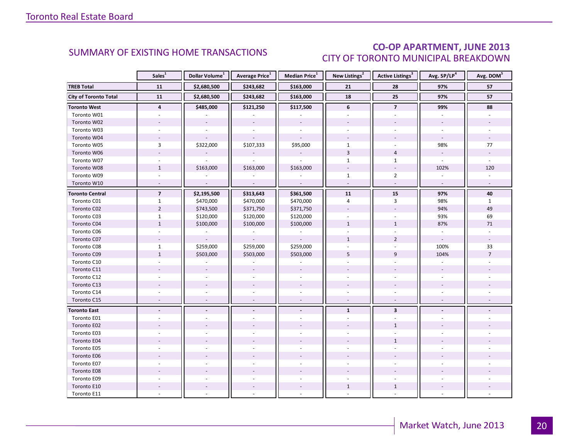### CO-OP APARTMENT, JUNE 2013 CITY OF TORONTO MUNICIPAL BREAKDOWN

<span id="page-19-0"></span>

|                              | Sales <sup>1</sup> | Dollar Volume <sup>1</sup> | <b>Average Price</b> <sup>1</sup> | Median Price <sup>1</sup> | New Listings <sup>2</sup> | Active Listings <sup>3</sup> | Avg. SP/LP <sup>4</sup>  | Avg. DOM <sup>5</sup> |
|------------------------------|--------------------|----------------------------|-----------------------------------|---------------------------|---------------------------|------------------------------|--------------------------|-----------------------|
| <b>TREB Total</b>            | 11                 | \$2,680,500                | \$243,682                         | \$163,000                 | 21                        | 28                           | 97%                      | 57                    |
| <b>City of Toronto Total</b> | 11                 | \$2,680,500                | \$243,682                         | \$163,000                 | 18                        | 25                           | 97%                      | 57                    |
| Toronto West                 | $\overline{4}$     | \$485,000                  | \$121,250                         | \$117,500                 | 6                         | $\overline{7}$               | 99%                      | 88                    |
| Toronto W01                  |                    |                            |                                   |                           |                           |                              |                          |                       |
| Toronto W02                  |                    |                            | $\overline{a}$                    |                           |                           |                              |                          |                       |
| Toronto W03                  | $\sim$             | ÷.                         | $\overline{a}$                    | $\overline{a}$            |                           | $\overline{a}$               | $\sim$                   |                       |
| Toronto W04                  |                    |                            |                                   |                           |                           |                              |                          |                       |
| Toronto W05                  | 3                  | \$322,000                  | \$107,333                         | \$95,000                  | $\mathbf{1}$              |                              | 98%                      | 77                    |
| Toronto W06                  | $\overline{a}$     |                            |                                   |                           | $\overline{3}$            | $\overline{4}$               | $\mathcal{L}$            |                       |
| Toronto W07                  | $\blacksquare$     | $\sim$                     | $\omega$                          | ÷.                        | $\mathbf{1}$              | $\mathbf{1}$                 | $\omega$                 | $\sim$                |
| Toronto W08                  | $\mathbf{1}$       | \$163,000                  | \$163,000                         | \$163,000                 |                           |                              | 102%                     | 120                   |
| Toronto W09                  |                    |                            |                                   |                           | $\mathbf{1}$              | $\overline{2}$               |                          |                       |
| Toronto W10                  | $\mathcal{L}$      | $\mathcal{L}$              | $\sim$                            | $\mathcal{L}$             | $\sim$                    | $\mathcal{L}$                | $\mathbf{r}$             | $\sim$                |
| <b>Toronto Central</b>       | $\overline{7}$     | \$2,195,500                | \$313,643                         | \$361,500                 | 11                        | 15                           | 97%                      | 40                    |
| Toronto C01                  | $\mathbf{1}$       | \$470,000                  | \$470,000                         | \$470,000                 | 4                         | 3                            | 98%                      | $\mathbf{1}$          |
| Toronto C02                  | $\overline{2}$     | \$743,500                  | \$371,750                         | \$371,750                 | $\blacksquare$            |                              | 94%                      | 49                    |
| Toronto C03                  | $\mathbf{1}$       | \$120,000                  | \$120,000                         | \$120,000                 | $\mathbf{r}$              | $\overline{a}$               | 93%                      | 69                    |
| Toronto C04                  | $\mathbf{1}$       | \$100,000                  | \$100,000                         | \$100,000                 | $\mathbf{1}$              | $\mathbf{1}$                 | 87%                      | 71                    |
| Toronto C06                  |                    |                            |                                   |                           |                           |                              |                          |                       |
| Toronto C07                  |                    |                            |                                   |                           | $\mathbf{1}$              | $\overline{2}$               | $\overline{\phantom{a}}$ |                       |
| Toronto C08                  | $\mathbf{1}$       | \$259,000                  | \$259,000                         | \$259,000                 |                           |                              | 100%                     | 33                    |
| Toronto C09                  | $\mathbf{1}$       | \$503,000                  | \$503,000                         | \$503,000                 | 5                         | 9                            | 104%                     | $\overline{7}$        |
| Toronto C10                  |                    |                            |                                   |                           |                           |                              |                          |                       |
| Toronto C11                  |                    |                            |                                   |                           |                           |                              |                          |                       |
| Toronto C12                  |                    |                            |                                   |                           |                           |                              |                          |                       |
| Toronto C13                  |                    |                            |                                   |                           |                           |                              |                          |                       |
| Toronto C14                  |                    |                            |                                   |                           |                           |                              |                          |                       |
| Toronto C15                  | $\sim$             |                            | $\overline{\phantom{a}}$          | $\sim$                    | $\sim$                    | $\overline{a}$               |                          |                       |
| <b>Toronto East</b>          |                    |                            |                                   | $\blacksquare$            | $\mathbf{1}$              | $\overline{\mathbf{3}}$      |                          |                       |
| Toronto E01                  |                    |                            |                                   |                           |                           |                              |                          |                       |
| Toronto E02                  |                    |                            |                                   |                           |                           | $\mathbf{1}$                 |                          |                       |
| Toronto E03                  |                    |                            |                                   |                           |                           |                              |                          |                       |
| Toronto E04                  |                    |                            |                                   |                           |                           | $\mathbf{1}$                 |                          |                       |
| Toronto E05                  |                    |                            |                                   |                           |                           |                              |                          |                       |
| Toronto E06                  |                    |                            |                                   |                           |                           |                              |                          |                       |
| Toronto E07                  |                    |                            |                                   |                           |                           |                              |                          |                       |
| Toronto E08                  |                    |                            |                                   |                           |                           |                              |                          |                       |
| Toronto E09                  |                    |                            |                                   |                           |                           |                              |                          |                       |
| Toronto E10                  |                    |                            |                                   |                           | $\mathbf{1}$              | $\mathbf{1}$                 |                          |                       |
| Toronto E11                  |                    |                            |                                   |                           |                           |                              |                          |                       |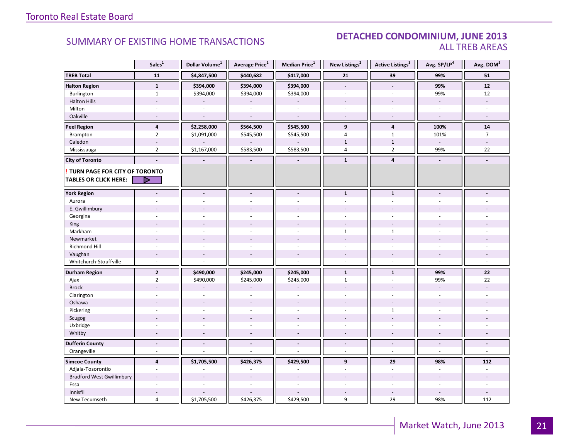#### DETACHED CONDOMINIUM, JUNE 2013 ALL TREB AREAS

|                                  | Sales <sup>1</sup>       | Dollar Volume <sup>1</sup> | Average Price <sup>1</sup> | <b>Median Price</b> <sup>1</sup> | New Listings <sup>2</sup> | <b>Active Listings<sup>3</sup></b> | Avg. SP/LP <sup>4</sup>  | Avg. DOM <sup>5</sup>    |
|----------------------------------|--------------------------|----------------------------|----------------------------|----------------------------------|---------------------------|------------------------------------|--------------------------|--------------------------|
| <b>TREB Total</b>                | 11                       | \$4,847,500                | \$440,682                  | \$417,000                        | 21                        | 39                                 | 99%                      | 51                       |
| <b>Halton Region</b>             | $\mathbf{1}$             | \$394,000                  | \$394,000                  | \$394,000                        | $\overline{a}$            | $\overline{\phantom{a}}$           | 99%                      | $12$                     |
| Burlington                       | $\mathbf{1}$             | \$394,000                  | \$394,000                  | \$394,000                        | ÷.                        |                                    | 99%                      | 12                       |
| <b>Halton Hills</b>              |                          |                            |                            |                                  |                           |                                    | $\sim$                   |                          |
| Milton                           |                          |                            |                            | $\overline{\phantom{a}}$         | $\overline{\phantom{a}}$  |                                    |                          |                          |
| Oakville                         | $\sim$                   | $\sim$                     | $\overline{a}$             | $\sim$                           | $\sim$                    | $\sim$                             | $\sim$                   | $\overline{a}$           |
| <b>Peel Region</b>               | $\overline{\mathbf{4}}$  | \$2,258,000                | \$564,500                  | \$545,500                        | 9                         | $\overline{4}$                     | 100%                     | 14                       |
| Brampton                         | $\overline{2}$           | \$1,091,000                | \$545,500                  | \$545,500                        | $\overline{4}$            | $\mathbf{1}$                       | 101%                     | $\overline{7}$           |
| Caledon                          |                          |                            |                            |                                  | $\mathbf{1}$              | $\mathbf 1$                        | $\overline{\phantom{a}}$ |                          |
| Mississauga                      | $\overline{2}$           | \$1,167,000                | \$583,500                  | \$583,500                        | 4                         | $\overline{2}$                     | 99%                      | 22                       |
| <b>City of Toronto</b>           |                          | $\overline{\phantom{a}}$   | $\overline{\phantom{a}}$   |                                  | $\mathbf{1}$              | $\overline{4}$                     | $\blacksquare$           | $\overline{a}$           |
| TURN PAGE FOR CITY OF TORONTO    |                          |                            |                            |                                  |                           |                                    |                          |                          |
| <b>TABLES OR CLICK HERE:</b>     |                          |                            |                            |                                  |                           |                                    |                          |                          |
| <b>York Region</b>               |                          |                            | $\overline{a}$             | $\blacksquare$                   | $\mathbf{1}$              | $\mathbf{1}$                       |                          |                          |
| Aurora                           |                          |                            |                            |                                  |                           |                                    |                          |                          |
| E. Gwillimbury                   |                          |                            |                            |                                  |                           |                                    |                          |                          |
| Georgina                         |                          |                            |                            |                                  |                           |                                    |                          |                          |
| King                             |                          |                            |                            |                                  |                           |                                    |                          |                          |
| Markham                          | ÷,                       |                            |                            | $\overline{a}$                   | $\mathbf{1}$              | $\mathbf{1}$                       |                          |                          |
| Newmarket                        |                          |                            |                            |                                  |                           |                                    |                          |                          |
| Richmond Hill                    |                          |                            |                            |                                  |                           |                                    |                          |                          |
| Vaughan                          | $\overline{\phantom{a}}$ |                            | $\overline{a}$             | $\overline{a}$                   |                           |                                    |                          |                          |
| Whitchurch-Stouffville           | $\sim$                   |                            | L.                         | ÷,                               | $\overline{a}$            | $\overline{a}$                     | $\sim$                   |                          |
| <b>Durham Region</b>             | $\overline{2}$           | \$490,000                  | \$245,000                  | \$245,000                        | $\mathbf{1}$              | $\mathbf{1}$                       | 99%                      | 22                       |
| Ajax                             | $\overline{2}$           | \$490,000                  | \$245,000                  | \$245,000                        | $\mathbf{1}$              | $\overline{a}$                     | 99%                      | 22                       |
| <b>Brock</b>                     |                          |                            |                            |                                  |                           |                                    |                          |                          |
| Clarington                       | $\overline{a}$           |                            | ÷,                         | ÷.                               | $\overline{a}$            | $\overline{a}$                     |                          |                          |
| Oshawa                           |                          |                            |                            |                                  |                           |                                    |                          |                          |
| Pickering                        |                          |                            |                            | $\overline{a}$                   | ÷.                        | $\mathbf{1}$                       |                          |                          |
| Scugog                           |                          |                            | $\overline{a}$             | $\overline{a}$                   |                           | $\overline{\phantom{a}}$           |                          |                          |
| Uxbridge                         | ä,                       |                            | ä,                         | $\bar{a}$                        | ä,                        | ÷,                                 |                          |                          |
| Whitby                           | $\overline{\phantom{a}}$ |                            | $\overline{\phantom{a}}$   | $\sim$                           | $\overline{\phantom{a}}$  | $\sim$                             |                          |                          |
| <b>Dufferin County</b>           | $\blacksquare$           | $\blacksquare$             | $\blacksquare$             | $\blacksquare$                   | $\blacksquare$            | $\overline{\phantom{a}}$           | $\blacksquare$           | ÷.                       |
| Orangeville                      | $\overline{\phantom{a}}$ |                            | ÷.                         | $\overline{\phantom{a}}$         | ÷.                        | $\overline{\phantom{a}}$           | $\omega$                 | $\overline{\phantom{a}}$ |
| <b>Simcoe County</b>             | $\overline{\mathbf{4}}$  | \$1,705,500                | \$426,375                  | \$429,500                        | $\mathbf{9}$              | 29                                 | 98%                      | 112                      |
| Adjala-Tosorontio                | $\sim$                   |                            |                            | ÷.                               | ÷                         | $\sim$                             | $\sim$                   | ÷                        |
| <b>Bradford West Gwillimbury</b> |                          |                            |                            |                                  |                           |                                    |                          |                          |
| Essa                             |                          |                            |                            |                                  |                           |                                    |                          |                          |
| Innisfil                         |                          |                            |                            |                                  |                           |                                    |                          |                          |
| New Tecumseth                    | $\overline{4}$           | \$1,705,500                | \$426,375                  | \$429,500                        | 9                         | 29                                 | 98%                      | 112                      |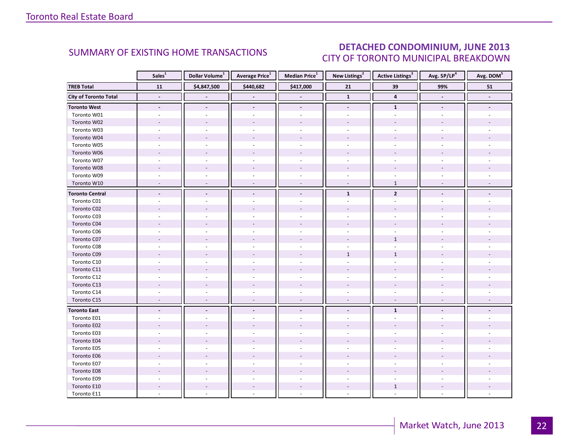### DETACHED CONDOMINIUM, JUNE 2013 CITY OF TORONTO MUNICIPAL BREAKDOWN

<span id="page-21-0"></span>

|                        | Sales <sup>1</sup>       | Dollar Volume <sup>1</sup> | Average Price <sup>1</sup> | Median Price <sup>1</sup> | New Listings <sup>2</sup> | <b>Active Listings</b> <sup>3</sup> | Avg. SP/LP <sup>4</sup> | Avg. DOM <sup>5</sup> |
|------------------------|--------------------------|----------------------------|----------------------------|---------------------------|---------------------------|-------------------------------------|-------------------------|-----------------------|
| <b>TREB Total</b>      | ${\bf 11}$               | \$4,847,500                | \$440,682                  | \$417,000                 | 21                        | 39                                  | 99%                     | ${\bf 51}$            |
| City of Toronto Total  |                          |                            |                            |                           | $\mathbf 1$               | $\overline{\mathbf{4}}$             |                         |                       |
| <b>Toronto West</b>    | $\blacksquare$           |                            | $\blacksquare$             | $\blacksquare$            |                           | $\mathbf{1}$                        | $\blacksquare$          |                       |
| Toronto W01            |                          |                            |                            |                           |                           |                                     |                         |                       |
| Toronto W02            |                          |                            |                            |                           |                           |                                     |                         |                       |
| Toronto W03            |                          |                            |                            | $\overline{\phantom{a}}$  |                           |                                     |                         |                       |
| Toronto W04            |                          |                            |                            |                           |                           |                                     |                         |                       |
| Toronto W05            |                          |                            |                            |                           |                           |                                     |                         |                       |
| Toronto W06            |                          |                            |                            |                           |                           |                                     |                         |                       |
| Toronto W07            | $\overline{a}$           |                            | ÷.                         | $\sim$                    | $\sim$                    | ÷                                   |                         |                       |
| Toronto W08            |                          |                            |                            |                           |                           |                                     |                         |                       |
| Toronto W09            |                          |                            |                            |                           |                           |                                     |                         |                       |
| Toronto W10            | ÷,                       | $\overline{a}$             | $\overline{\phantom{a}}$   | $\overline{\phantom{a}}$  | $\overline{\phantom{a}}$  | $\mathbf{1}$                        | $\overline{a}$          |                       |
| <b>Toronto Central</b> | $\overline{a}$           |                            | $\overline{a}$             | $\blacksquare$            | $\mathbf{1}$              | $\overline{2}$                      |                         |                       |
| Toronto C01            |                          |                            |                            |                           |                           |                                     |                         |                       |
| Toronto C02            |                          |                            |                            |                           |                           |                                     |                         |                       |
| Toronto C03            |                          |                            |                            | $\sim$                    |                           |                                     |                         |                       |
| Toronto C04            |                          |                            |                            |                           |                           |                                     |                         |                       |
| Toronto C06            |                          |                            |                            |                           |                           |                                     |                         |                       |
| Toronto C07            |                          |                            |                            |                           |                           | $\mathbf{1}$                        |                         |                       |
| Toronto C08            |                          |                            |                            |                           |                           |                                     |                         |                       |
| Toronto C09            |                          |                            |                            |                           | $\mathbf{1}$              | $\mathbf 1$                         |                         |                       |
| Toronto C10            |                          |                            |                            |                           |                           |                                     |                         |                       |
| Toronto C11            |                          |                            |                            |                           |                           |                                     |                         |                       |
| Toronto C12            |                          |                            |                            | $\bar{a}$                 |                           |                                     |                         |                       |
| Toronto C13            |                          |                            |                            |                           |                           |                                     |                         |                       |
| Toronto C14            |                          |                            |                            |                           |                           |                                     |                         |                       |
| Toronto C15            | $\overline{\phantom{a}}$ | $\sim$                     | $\sim$                     | $\overline{\phantom{a}}$  | $\overline{\phantom{a}}$  | $\overline{\phantom{a}}$            | $\sim$                  |                       |
| <b>Toronto East</b>    | $\blacksquare$           | $\overline{\phantom{a}}$   | $\blacksquare$             | $\blacksquare$            |                           | $\mathbf{1}$                        |                         |                       |
| Toronto E01            |                          |                            |                            |                           |                           |                                     |                         |                       |
| Toronto E02            |                          |                            |                            |                           |                           |                                     |                         |                       |
| Toronto E03            |                          |                            |                            |                           |                           |                                     |                         |                       |
| Toronto E04            |                          |                            |                            |                           |                           |                                     |                         |                       |
| Toronto E05            |                          |                            |                            | $\overline{a}$            |                           |                                     |                         |                       |
| Toronto E06            |                          |                            |                            |                           |                           |                                     |                         |                       |
| Toronto E07            |                          |                            |                            |                           |                           |                                     |                         |                       |
| Toronto E08            |                          |                            |                            |                           |                           |                                     |                         |                       |
| Toronto E09            |                          |                            |                            |                           |                           |                                     |                         |                       |
| Toronto E10            |                          |                            |                            | $\sim$                    |                           | $\mathbf{1}$                        |                         |                       |
| Toronto E11            |                          |                            |                            |                           |                           |                                     |                         |                       |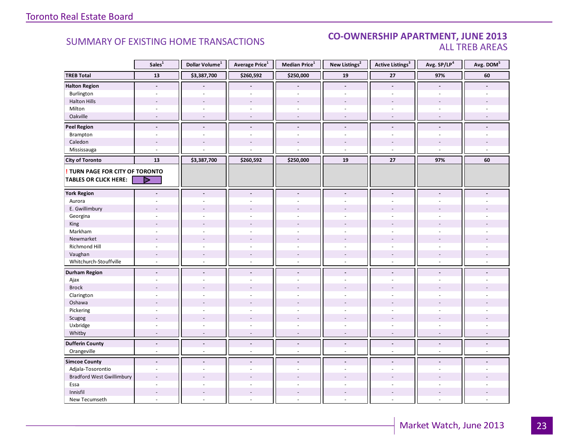#### **Industrial Leasing CO-OWNERSHIP APARTMENT, JUNE 2013**<br>ALL TREB AREAS ALL TREB AREAS

|                                  | Sales <sup>1</sup>       | Dollar Volume <sup>1</sup> | Average Price <sup>1</sup> | <b>Median Price</b> <sup>1</sup> | New Listings <sup>2</sup> | <b>Active Listings<sup>3</sup></b> | Avg. SP/LP <sup>4</sup>  | Avg. DOM <sup>5</sup>    |
|----------------------------------|--------------------------|----------------------------|----------------------------|----------------------------------|---------------------------|------------------------------------|--------------------------|--------------------------|
| <b>TREB Total</b>                | 13                       | \$3,387,700                | \$260,592                  | \$250,000                        | 19                        | 27                                 | 97%                      | 60                       |
| <b>Halton Region</b>             | $\blacksquare$           |                            |                            |                                  | $\blacksquare$            | $\overline{a}$                     | $\blacksquare$           |                          |
| Burlington                       |                          |                            |                            |                                  |                           |                                    |                          |                          |
| <b>Halton Hills</b>              | $\overline{a}$           |                            | $\overline{a}$             |                                  |                           |                                    |                          |                          |
| Milton                           | ÷,                       | ÷.                         | ä,                         | $\omega$                         | ÷.                        | $\sim$                             |                          |                          |
| Oakville                         | $\sim$                   | $\overline{\phantom{a}}$   | $\overline{a}$             | $\sim$                           | $\overline{\phantom{a}}$  | $\sim$                             |                          |                          |
| <b>Peel Region</b>               | $\blacksquare$           | $\blacksquare$             | $\blacksquare$             | $\blacksquare$                   | $\blacksquare$            | $\overline{a}$                     |                          |                          |
| Brampton                         | ÷,                       | $\overline{a}$             | L                          | $\overline{a}$                   | ä,                        | ä,                                 |                          |                          |
| Caledon                          |                          |                            |                            |                                  |                           |                                    |                          |                          |
| Mississauga                      |                          |                            |                            |                                  |                           |                                    |                          |                          |
| <b>City of Toronto</b>           | 13                       | \$3,387,700                | \$260,592                  | \$250,000                        | 19                        | $27$                               | 97%                      | 60                       |
| TURN PAGE FOR CITY OF TORONTO    |                          |                            |                            |                                  |                           |                                    |                          |                          |
| <b>TABLES OR CLICK HERE:</b>     | D                        |                            |                            |                                  |                           |                                    |                          |                          |
|                                  |                          |                            |                            |                                  |                           |                                    |                          |                          |
| <b>York Region</b>               | $\blacksquare$           | $\blacksquare$             | $\blacksquare$             | $\blacksquare$                   | $\blacksquare$            | $\overline{\phantom{a}}$           | $\blacksquare$           |                          |
| Aurora                           |                          |                            |                            |                                  | $\overline{\phantom{a}}$  |                                    |                          |                          |
| E. Gwillimbury                   |                          |                            |                            |                                  |                           |                                    |                          |                          |
| Georgina                         |                          |                            |                            |                                  |                           |                                    |                          |                          |
| King                             |                          |                            |                            |                                  |                           |                                    |                          |                          |
| Markham                          | ÷.                       | $\overline{a}$             | $\overline{a}$             | $\overline{a}$                   | ÷                         | ÷                                  | $\sim$                   |                          |
| Newmarket                        |                          |                            |                            |                                  |                           |                                    |                          |                          |
| Richmond Hill                    | $\overline{a}$           |                            |                            |                                  |                           |                                    |                          |                          |
| Vaughan                          | $\overline{\phantom{a}}$ |                            | $\overline{\phantom{a}}$   | $\overline{\phantom{a}}$         | $\overline{\phantom{a}}$  |                                    |                          |                          |
| Whitchurch-Stouffville           | $\sim$                   | $\sim$                     | ä,                         | $\omega$                         | $\sim$                    | $\sim$                             | $\sim$                   |                          |
| <b>Durham Region</b>             | $\blacksquare$           | $\overline{\phantom{a}}$   | $\frac{1}{2}$              | $\overline{\phantom{a}}$         | $\overline{\phantom{a}}$  | $\overline{a}$                     |                          |                          |
| Ajax                             | $\sim$                   |                            | ä,                         | $\overline{\phantom{a}}$         | ÷                         |                                    |                          |                          |
| <b>Brock</b>                     |                          |                            |                            |                                  |                           |                                    |                          |                          |
| Clarington                       | ÷.                       |                            | ä,                         | ÷.                               | ÷                         | ä,                                 |                          |                          |
| Oshawa                           | $\overline{a}$           |                            |                            |                                  |                           |                                    |                          |                          |
| Pickering                        | ÷.                       |                            |                            |                                  | ÷                         | ä,                                 |                          |                          |
| Scugog                           | $\overline{a}$           |                            | $\overline{a}$             | $\overline{a}$                   |                           |                                    |                          |                          |
| Uxbridge                         | $\sim$                   |                            | $\overline{\phantom{a}}$   | $\omega$                         | ÷.                        | ä,                                 | $\sim$                   |                          |
| Whitby                           | $\sim$                   | $\overline{\phantom{a}}$   | ÷,                         | $\omega$                         | $\overline{\phantom{a}}$  | $\overline{\phantom{a}}$           | $\overline{\phantom{a}}$ | $\overline{a}$           |
| <b>Dufferin County</b>           | $\overline{\phantom{a}}$ | $\overline{\phantom{a}}$   | $\frac{1}{2}$              | $\overline{\phantom{a}}$         | $\overline{\phantom{a}}$  | $\overline{\phantom{a}}$           | $\overline{\phantom{a}}$ | $\overline{\phantom{a}}$ |
| Orangeville                      | $\overline{\phantom{a}}$ | $\bar{a}$                  | ä,                         | $\overline{\phantom{a}}$         | $\overline{\phantom{a}}$  | $\overline{\phantom{a}}$           | $\omega$                 | $\omega$                 |
| <b>Simcoe County</b>             | $\overline{a}$           | $\blacksquare$             | ۵                          | $\overline{\phantom{a}}$         | $\blacksquare$            | $\overline{a}$                     |                          |                          |
| Adjala-Tosorontio                | $\sim$                   | ÷.                         | ÷                          | $\sim$                           | ÷                         | $\sim$                             | $\sim$                   |                          |
| <b>Bradford West Gwillimbury</b> | $\sim$                   |                            |                            |                                  |                           |                                    |                          |                          |
| Essa                             |                          |                            |                            |                                  |                           |                                    |                          |                          |
| Innisfil                         | $\overline{a}$           | $\overline{a}$             | $\overline{a}$             | $\sim$                           | $\overline{\phantom{a}}$  | $\overline{a}$                     |                          |                          |
| New Tecumseth                    | ÷,                       |                            | L,                         | ÷,                               | $\overline{\phantom{a}}$  | ÷.                                 |                          |                          |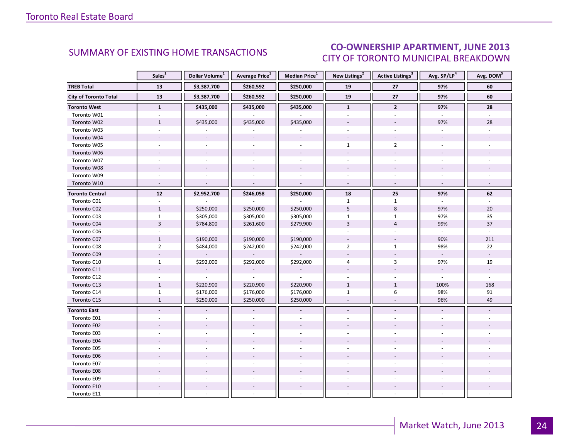#### $INT$  ILINE 2012 CITY OF TORONTO MUNICIPAL BREAKDOWN SUMMARY OF EXISTING HOME TRANSACTIONS **CO-OWNERSHIP APARTMENT, JUNE 2013**

<span id="page-23-0"></span>

|                              | Sales <sup>1</sup>       | Dollar Volume <sup>1</sup> | Average Price <sup>1</sup> | Median Price <sup>1</sup> | New Listings <sup>2</sup> | Active Listings <sup>3</sup> | Avg. SP/LP <sup>4</sup> | Avg. DOM <sup>5</sup> |
|------------------------------|--------------------------|----------------------------|----------------------------|---------------------------|---------------------------|------------------------------|-------------------------|-----------------------|
| <b>TREB Total</b>            | 13                       | \$3,387,700                | \$260,592                  | \$250,000                 | 19                        | 27                           | 97%                     | 60                    |
| <b>City of Toronto Total</b> | 13                       | \$3,387,700                | \$260,592                  | \$250,000                 | 19                        | 27                           | 97%                     | 60                    |
| <b>Toronto West</b>          | $\mathbf{1}$             | \$435,000                  | \$435,000                  | \$435,000                 | $\mathbf{1}$              | $\mathbf{2}$                 | 97%                     | 28                    |
| Toronto W01                  |                          |                            |                            |                           |                           |                              |                         |                       |
| Toronto W02                  | $\mathbf{1}$             | \$435,000                  | \$435,000                  | \$435,000                 | $\overline{\phantom{a}}$  |                              | 97%                     | 28                    |
| Toronto W03                  | $\omega$                 |                            |                            |                           |                           |                              |                         |                       |
| Toronto W04                  |                          |                            |                            |                           |                           |                              |                         |                       |
| Toronto W05                  |                          |                            |                            |                           | $\mathbf{1}$              | $\overline{2}$               |                         |                       |
| Toronto W06                  |                          | $\overline{\phantom{a}}$   | $\sim$                     | $\overline{\phantom{a}}$  |                           |                              |                         |                       |
| Toronto W07                  | $\sim$                   |                            |                            | $\sim$                    | ÷.                        | ÷                            |                         |                       |
| Toronto W08                  |                          |                            |                            |                           |                           |                              |                         |                       |
| Toronto W09                  |                          |                            |                            |                           |                           |                              |                         |                       |
| Toronto W10                  | $\overline{\phantom{a}}$ |                            |                            |                           | $\sim$                    | $\overline{\phantom{a}}$     |                         |                       |
| <b>Toronto Central</b>       | ${\bf 12}$               | \$2,952,700                | \$246,058                  | \$250,000                 | 18                        | 25                           | 97%                     | 62                    |
| Toronto C01                  |                          |                            |                            |                           | $\mathbf{1}$              | $\mathbf{1}$                 |                         |                       |
| Toronto C02                  | $\mathbf{1}$             | \$250,000                  | \$250,000                  | \$250,000                 | 5                         | $\,8\,$                      | 97%                     | 20                    |
| Toronto C03                  | $\mathbf{1}$             | \$305,000                  | \$305,000                  | \$305,000                 | $\mathbf{1}$              | $\mathbf{1}$                 | 97%                     | 35                    |
| Toronto C04                  | $\overline{3}$           | \$784,800                  | \$261,600                  | \$279,900                 | $\overline{3}$            | $\overline{4}$               | 99%                     | 37                    |
| Toronto C06                  |                          |                            |                            |                           |                           |                              |                         |                       |
| Toronto C07                  | $\mathbf{1}$             | \$190,000                  | \$190,000                  | \$190,000                 |                           |                              | 90%                     | 211                   |
| Toronto C08                  | $\overline{2}$           | \$484,000                  | \$242,000                  | \$242,000                 | $\overline{2}$            | $\mathbf{1}$                 | 98%                     | 22                    |
| Toronto C09                  |                          |                            |                            |                           |                           |                              |                         |                       |
| Toronto C10                  | $\mathbf{1}$             | \$292,000                  | \$292,000                  | \$292,000                 | 4                         | $\overline{3}$               | 97%                     | 19                    |
| Toronto C11                  |                          |                            |                            |                           |                           |                              | $\sim$                  |                       |
| Toronto C12                  |                          |                            |                            |                           |                           |                              |                         |                       |
| Toronto C13                  | $\mathbf{1}$             | \$220,900                  | \$220,900                  | \$220,900                 | $\mathbf{1}$              | $\mathbf{1}$                 | 100%                    | 168                   |
| Toronto C14                  | $\mathbf{1}$             | \$176,000                  | \$176,000                  | \$176,000                 | $\mathbf{1}$              | 6                            | 98%                     | 91                    |
| Toronto C15                  | $\mathbf{1}$             | \$250,000                  | \$250,000                  | \$250,000                 | $\sim$                    | $\overline{\phantom{a}}$     | 96%                     | 49                    |
| <b>Toronto East</b>          | $\overline{\phantom{a}}$ |                            |                            |                           | $\blacksquare$            | $\blacksquare$               |                         |                       |
| Toronto E01                  |                          |                            |                            |                           |                           |                              |                         |                       |
| Toronto E02                  |                          |                            |                            |                           |                           |                              |                         |                       |
| Toronto E03                  |                          |                            |                            |                           |                           |                              |                         |                       |
| Toronto E04                  |                          |                            |                            |                           |                           |                              |                         |                       |
| Toronto E05                  |                          |                            |                            |                           |                           |                              |                         |                       |
| Toronto E06                  |                          |                            |                            |                           |                           |                              |                         |                       |
| Toronto E07                  |                          |                            |                            |                           |                           |                              |                         |                       |
| Toronto E08                  |                          |                            |                            |                           |                           |                              |                         |                       |
| Toronto E09                  |                          |                            |                            |                           |                           |                              |                         |                       |
| Toronto E10                  |                          |                            | $\overline{\phantom{a}}$   | $\overline{\phantom{a}}$  |                           |                              |                         |                       |
| Toronto E11                  |                          |                            |                            |                           |                           |                              |                         |                       |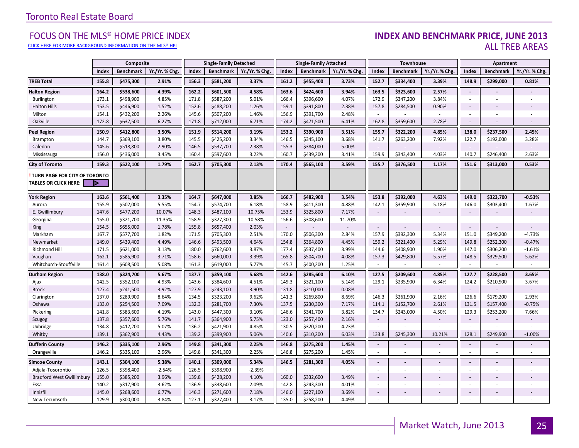[CLICK HERE FOR MORE BACKGROUND INFORMATION ON THE MLS® HPI](http://www.torontorealestateboard.com/market_news/home_price_index/index.htm)

#### FOCUS ON THE MLS® HOME PRICE INDEX **INDEX AND BENCHMARK PRICE, JUNE 2013**<br>Elick here for more background information on the mls® hpi ALL TREB AREAS

|                                                               |       | Composite        |               |       | <b>Single-Family Detached</b> |               |        | <b>Single-Family Attached</b> |                |                          | Townhouse        |               |                | Apartment                |                |
|---------------------------------------------------------------|-------|------------------|---------------|-------|-------------------------------|---------------|--------|-------------------------------|----------------|--------------------------|------------------|---------------|----------------|--------------------------|----------------|
|                                                               | Index | <b>Benchmark</b> | Yr./Yr. % Chg | Index | <b>Benchmark</b>              | Yr./Yr. % Chg | Index  | <b>Benchmark</b>              | Yr./Yr. % Chg. | Index                    | <b>Benchmark</b> | Yr./Yr. % Chg | Index          | <b>Benchmark</b>         | Yr./Yr. % Chg. |
| <b>TREB Total</b>                                             | 155.8 | \$475,300        | 2.91%         | 156.3 | \$581,200                     | 3.37%         | 161.2  | \$455,400                     | 3.73%          | 152.7                    | \$334,400        | 3.39%         | 148.9          | \$299,000                | 0.81%          |
| <b>Halton Region</b>                                          | 164.2 | \$538,600        | 4.39%         | 162.2 | \$601,500                     | 4.58%         | 163.6  | \$424,600                     | 3.94%          | 163.5                    | \$323,600        | 2.57%         | $\mathcal{L}$  |                          |                |
| Burlington                                                    | 173.1 | \$498,900        | 4.85%         | 171.8 | \$587,200                     | 5.01%         | 166.4  | \$396,600                     | 4.07%          | 172.9                    | \$347,200        | 3.84%         | $\sim$         | $\overline{\phantom{a}}$ |                |
| <b>Halton Hills</b>                                           | 153.5 | \$446,900        | 1.52%         | 152.6 | \$488,200                     | 1.26%         | 159.1  | \$391,800                     | 2.38%          | 157.8                    | \$284,500        | 0.90%         | $\sim$         |                          |                |
| Milton                                                        | 154.1 | \$432,200        | 2.26%         | 145.6 | \$507,200                     | 1.46%         | 156.9  | \$391,700                     | 2.48%          |                          |                  |               | ÷              |                          |                |
| Oakville                                                      | 172.8 | \$637,500        | 6.27%         | 171.8 | \$712,000                     | 6.71%         | 174.2  | \$471,500                     | 6.41%          | 162.8                    | \$359,600        | 2.78%         | $\sim$         |                          |                |
| <b>Peel Region</b>                                            | 150.9 | \$412,800        | 3.50%         | 151.9 | \$514,200                     | 3.19%         | 153.2  | \$390,900                     | 3.51%          | 155.7                    | \$322,200        | 4.85%         | 138.0          | \$237,500                | 2.45%          |
| Brampton                                                      | 144.7 | \$369,100        | 3.80%         | 145.5 | \$425,200                     | 3.34%         | 146.5  | \$345,100                     | 3.68%          | 141.7                    | \$263,200        | 7.92%         | 122.7          | \$192,000                | 3.28%          |
| Caledon                                                       | 145.6 | \$518,800        | 2.90%         | 146.5 | \$537,700                     | 2.38%         | 155.3  | \$384,000                     | 5.00%          | $\sim$                   |                  |               | $\sim$         |                          |                |
| Mississauga                                                   | 156.0 | \$436,000        | 3.45%         | 160.4 | \$597,600                     | 3.22%         | 160.7  | \$439,200                     | 3.41%          | 159.9                    | \$343,400        | 4.03%         | 140.7          | \$246,400                | 2.63%          |
| <b>City of Toronto</b>                                        | 159.3 | \$522,100        | 1.79%         | 162.7 | \$705,300                     | 2.13%         | 170.4  | \$565,100                     | 3.59%          | 155.7                    | \$376,500        | 1.17%         | 151.6          | \$313,000                | 0.53%          |
| TURN PAGE FOR CITY OF TORONTO<br><b>TABLES OR CLICK HERE:</b> | Þ     |                  |               |       |                               |               |        |                               |                |                          |                  |               |                |                          |                |
| York Region                                                   | 163.6 | \$561,400        | 3.35%         | 164.7 | \$647,000                     | 3.85%         | 166.7  | \$482,900                     | 3.54%          | 153.8                    | \$392,000        | 4.63%         | 149.0          | \$323,700                | $-0.53%$       |
| Aurora                                                        | 155.9 | \$502,000        | 5.55%         | 154.7 | \$574,700                     | 6.18%         | 158.9  | \$411,300                     | 4.88%          | 142.1                    | \$359,900        | 5.18%         | 146.0          | \$303,400                | 1.67%          |
| E. Gwillimbury                                                | 147.6 | \$477,200        | 10.07%        | 148.3 | \$487,100                     | 10.75%        | 153.9  | \$325,800                     | 7.17%          | $\overline{\phantom{a}}$ |                  |               | $\sim$         |                          |                |
| Georgina                                                      | 155.0 | \$321,700        | 11.35%        | 158.9 | \$327,300                     | 10.58%        | 156.6  | \$308,600                     | 11.70%         | $\omega$                 |                  |               | $\sim$         | $\overline{\phantom{a}}$ |                |
| King                                                          | 154.5 | \$655,000        | 1.78%         | 155.8 | \$657,400                     | 2.03%         | $\sim$ |                               |                | $\sim$                   |                  |               | $\sim$         |                          |                |
| Markham                                                       | 167.7 | \$577,700        | 1.82%         | 171.5 | \$705,300                     | 2.51%         | 170.0  | \$506,300                     | 2.84%          | 157.9                    | \$392,300        | 5.34%         | 151.0          | \$349,200                | $-4.73%$       |
| Newmarket                                                     | 149.0 | \$439,400        | 4.49%         | 146.6 | \$493,500                     | 4.64%         | 154.8  | \$364,800                     | 4.45%          | 159.2                    | \$321,400        | 5.29%         | 149.8          | \$252,300                | $-0.47%$       |
| Richmond Hill                                                 | 171.5 | \$621,000        | 3.13%         | 180.0 | \$762,600                     | 3.87%         | 177.4  | \$537,400                     | 3.99%          | 144.6                    | \$408,900        | 1.90%         | 147.0          | \$306,200                | $-1.61%$       |
| Vaughan                                                       | 162.1 | \$585,900        | 3.71%         | 158.6 | \$660,000                     | 3.39%         | 165.8  | \$504,700                     | 4.08%          | 157.3                    | \$429,800        | 5.57%         | 148.5          | \$329,500                | 5.62%          |
| Whitchurch-Stouffville                                        | 161.4 | \$608,500        | 5.08%         | 161.3 | \$619,000                     | 5.77%         | 145.7  | \$400,200                     | 1.25%          |                          |                  | $\sim$        |                | $\sim$                   | $\sim$         |
| <b>Durham Region</b>                                          | 138.0 | \$324,700        | 5.67%         | 137.7 | \$359,100                     | 5.68%         | 142.6  | \$285,600                     | 6.10%          | 127.5                    | \$209,600        | 4.85%         | 127.7          | \$228,500                | 3.65%          |
| Ajax                                                          | 142.5 | \$352,100        | 4.93%         | 143.6 | \$384,600                     | 4.51%         | 149.3  | \$321,100                     | 5.14%          | 129.1                    | \$235,900        | 6.34%         | 124.2          | \$210,900                | 3.67%          |
| <b>Brock</b>                                                  | 127.4 | \$241,500        | 3.92%         | 127.9 | \$243,100                     | 3.90%         | 131.8  | \$210,000                     | 0.08%          | $\sim$                   |                  |               | $\sim$         |                          |                |
| Clarington                                                    | 137.0 | \$289,900        | 8.64%         | 134.5 | \$323,200                     | 9.62%         | 141.3  | \$269,800                     | 8.69%          | 146.3                    | \$261,900        | 2.16%         | 126.6          | \$179,200                | 2.93%          |
| Oshawa                                                        | 133.0 | \$254,500        | 7.09%         | 132.3 | \$281,700                     | 7.30%         | 137.5  | \$230,300                     | 7.17%          | 114.1                    | \$152,700        | 2.61%         | 131.5          | \$157,400                | $-0.75%$       |
| Pickering                                                     | 141.8 | \$383,600        | 4.19%         | 143.0 | \$447,300                     | 3.10%         | 146.6  | \$341,700                     | 3.82%          | 134.7                    | \$243,000        | 4.50%         | 129.3          | \$253,200                | 7.66%          |
| Scugog                                                        | 137.8 | \$357,600        | 5.76%         | 141.7 | \$364,900                     | 5.75%         | 123.0  | \$257,400                     | 2.16%          | $\overline{\phantom{a}}$ |                  |               | $\sim$         |                          |                |
| Uxbridge                                                      | 134.8 | \$412,200        | 5.07%         | 136.2 | \$421,900                     | 4.85%         | 130.5  | \$320,200                     | 4.23%          |                          |                  |               |                |                          |                |
| Whitby                                                        | 139.1 | \$362,900        | 4.43%         | 139.2 | \$399,900                     | 5.06%         | 140.6  | \$310,200                     | 6.03%          | 133.8                    | \$245,300        | 10.21%        | 128.1          | \$249,900                | $-1.00%$       |
| <b>Dufferin County</b>                                        | 146.2 | \$335,100        | 2.96%         | 149.8 | \$341,300                     | 2.25%         | 146.8  | \$275,200                     | 1.45%          | $\sim$                   |                  |               | $\sim$         | $\blacksquare$           |                |
| Orangeville                                                   | 146.2 | \$335,100        | 2.96%         | 149.8 | \$341,300                     | 2.25%         | 146.8  | \$275,200                     | 1.45%          | ×.                       |                  | ÷.            |                | $\sim$                   |                |
| <b>Simcoe County</b>                                          | 143.1 | \$304,100        | 5.38%         | 140.1 | \$309,000                     | 5.34%         | 146.5  | \$281,300                     | 4.05%          | $\blacksquare$           |                  |               | $\blacksquare$ |                          |                |
| Adjala-Tosorontio                                             | 126.5 | \$398,400        | $-2.54%$      | 126.5 | \$398,900                     | $-2.39%$      | $\sim$ |                               |                | $\overline{\phantom{a}}$ |                  | ä,            | ÷              | $\sim$                   |                |
| <b>Bradford West Gwillimbury</b>                              | 155.0 | \$385,200        | 3.96%         | 139.8 | \$428,200                     | 4.10%         | 160.0  | \$332,600                     | 3.49%          | $\bar{\phantom{a}}$      |                  |               |                |                          |                |
| Essa                                                          | 140.2 | \$317,900        | 3.62%         | 136.9 | \$338,600                     | 2.09%         | 142.8  | \$243,300                     | 4.01%          | ÷.                       |                  |               | $\sim$         |                          |                |
| Innisfil                                                      | 145.0 | \$268,600        | 6.77%         | 146.3 | \$271,600                     | 7.18%         | 146.0  | \$227,100                     | 3.69%          | $\sim$                   |                  |               | $\sim$         |                          |                |
| New Tecumseth                                                 | 129.9 | \$300,000        | 3.84%         | 127.1 | \$327,400                     | 3.17%         | 135.0  | \$258,200                     | 4.49%          |                          |                  |               |                |                          |                |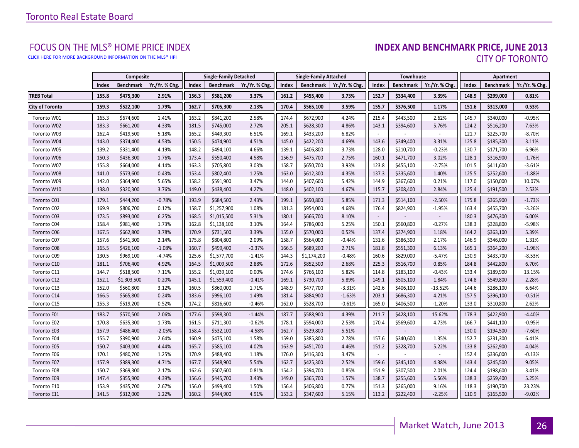[CLICK HERE FOR MORE BACKGROUND INFORMATION ON THE MLS® HPI](http://www.torontorealestateboard.com/market_news/home_price_index/index.htm)

# FOCUS ON THE MLS® HOME PRICE INDEX<br>**INDEX AND BENCHMARK PRICE, JUNE 2013** CITY OF TORONTO

|                        |       | Composite        |                |       | <b>Single-Family Detached</b> |                | <b>Single-Family Attached</b> |                  | Townhouse      |                          |                  | Apartment      |       |                  |                |
|------------------------|-------|------------------|----------------|-------|-------------------------------|----------------|-------------------------------|------------------|----------------|--------------------------|------------------|----------------|-------|------------------|----------------|
|                        | Index | <b>Benchmark</b> | Yr./Yr. % Chg. | Index | Benchmark                     | Yr./Yr. % Chg. | Index                         | <b>Benchmark</b> | Yr./Yr. % Chg. | Index                    | <b>Benchmark</b> | Yr./Yr. % Chg. | Index | <b>Benchmark</b> | Yr./Yr. % Chg. |
| <b>TREB Total</b>      | 155.8 | \$475,300        | 2.91%          | 156.3 | \$581,200                     | 3.37%          | 161.2                         | \$455,400        | 3.73%          | 152.7                    | \$334,400        | 3.39%          | 148.9 | \$299,000        | 0.81%          |
| <b>City of Toronto</b> | 159.3 | \$522,100        | 1.79%          | 162.7 | \$705,300                     | 2.13%          | 170.4                         | \$565,100        | 3.59%          | 155.7                    | \$376,500        | 1.17%          | 151.6 | \$313,000        | 0.53%          |
| Toronto W01            | 165.3 | \$674,600        | 1.41%          | 163.2 | \$841,200                     | 2.58%          | 174.4                         | \$672,900        | 4.24%          | 215.4                    | \$443,500        | 2.62%          | 145.7 | \$340,000        | $-0.95%$       |
| Toronto W02            | 183.3 | \$661,200        | 4.33%          | 181.5 | \$745,000                     | 2.72%          | 205.1                         | \$628,300        | 4.86%          | 143.1                    | \$394,600        | 5.76%          | 124.2 | \$516,200        | 7.63%          |
| Toronto W03            | 162.4 | \$419,500        | 5.18%          | 165.2 | \$449,300                     | 6.51%          | 169.1                         | \$433,200        | 6.82%          |                          |                  |                | 121.7 | \$225,700        | $-8.70%$       |
| Toronto W04            | 143.0 | \$374,400        | 4.53%          | 150.5 | \$474,900                     | 4.51%          | 145.0                         | \$422,200        | 4.69%          | 143.6                    | \$349,400        | 3.31%          | 125.8 | \$185,300        | 3.11%          |
| Toronto W05            | 139.2 | \$331,400        | 4.19%          | 148.2 | \$494,100                     | 4.66%          | 139.1                         | \$406,800        | 3.73%          | 128.0                    | \$210,700        | $-0.23%$       | 130.7 | \$171,700        | 6.96%          |
| Toronto W06            | 150.3 | \$436,300        | 1.76%          | 173.4 | \$550,400                     | 4.58%          | 156.9                         | \$475,700        | 2.75%          | 160.1                    | \$471,700        | 3.02%          | 128.1 | \$316,900        | $-1.76%$       |
| Toronto W07            | 155.8 | \$664,000        | 4.14%          | 163.3 | \$705,800                     | 3.03%          | 158.7                         | \$650,700        | 3.93%          | 123.8                    | \$455,100        | $-2.75%$       | 101.5 | \$411,600        | $-3.61%$       |
| Toronto W08            | 141.0 | \$573,600        | 0.43%          | 153.4 | \$802,400                     | 1.25%          | 163.0                         | \$612,300        | 4.35%          | 137.3                    | \$335,600        | 1.40%          | 125.5 | \$252,600        | $-1.88%$       |
| Toronto W09            | 142.0 | \$364,900        | 5.65%          | 158.2 | \$591,900                     | 3.47%          | 144.0                         | \$407,600        | 5.42%          | 144.9                    | \$367,600        | 0.21%          | 117.0 | \$150,000        | 10.07%         |
| Toronto W10            | 138.0 | \$320,300        | 3.76%          | 149.0 | \$438,400                     | 4.27%          | 148.0                         | \$402,100        | 4.67%          | 115.7                    | \$208,400        | 2.84%          | 125.4 | \$191,500        | 2.53%          |
| Toronto C01            | 179.1 | \$444,200        | $-0.78%$       | 193.9 | \$684,500                     | 2.43%          | 199.1                         | \$690,800        | 5.85%          | 171.3                    | \$514,100        | $-2.50%$       | 175.8 | \$365,900        | $-1.73%$       |
| Toronto C02            | 169.9 | \$806,700        | 0.12%          | 158.7 | \$1,257,900                   | 1.08%          | 181.3                         | \$954,000        | 4.68%          | 176.4                    | \$824,900        | $-1.95%$       | 163.4 | \$455,700        | $-3.26%$       |
| Toronto C03            | 173.5 | \$893,000        | 6.25%          | 168.5 | \$1,015,500                   | 5.31%          | 180.1                         | \$666,700        | 8.10%          | $\overline{\phantom{a}}$ |                  |                | 180.3 | \$476,300        | 6.00%          |
| Toronto C04            | 158.4 | \$981,400        | 1.73%          | 162.8 | \$1,138,100                   | 3.10%          | 164.4                         | \$786,000        | 5.25%          | 150.1                    | \$560,800        | $-0.27%$       | 138.3 | \$328,800        | $-5.98%$       |
| Toronto C06            | 167.5 | \$662,800        | 3.78%          | 170.9 | \$731,500                     | 3.39%          | 155.0                         | \$570,000        | 0.52%          | 137.4                    | \$374,900        | 1.18%          | 164.2 | \$363,100        | 5.39%          |
| Toronto C07            | 157.6 | \$541,300        | 2.14%          | 175.8 | \$804,800                     | 2.09%          | 158.7                         | \$564,000        | $-0.44%$       | 131.6                    | \$386,300        | 2.17%          | 146.9 | \$346,000        | 1.31%          |
| Toronto C08            | 165.5 | \$426,100        | $-1.08%$       | 160.7 | \$499,400                     | $-0.37%$       | 166.5                         | \$689,200        | 2.71%          | 181.8                    | \$551,300        | 6.13%          | 165.1 | \$364,200        | $-1.96%$       |
| Toronto C09            | 130.5 | \$969,100        | $-4.74%$       | 125.6 | \$1,577,700                   | $-1.41%$       | 144.3                         | \$1,174,200      | $-0.48%$       | 160.6                    | \$829,000        | $-5.47%$       | 130.9 | \$433,700        | $-8.53%$       |
| Toronto C10            | 181.1 | \$706,400        | 4.92%          | 164.5 | \$1,009,500                   | 2.88%          | 172.6                         | \$852,500        | 2.68%          | 225.3                    | \$516,700        | 0.85%          | 184.8 | \$442,800        | 6.70%          |
| Toronto C11            | 144.7 | \$518,500        | 7.11%          | 155.2 | \$1,039,100                   | 0.00%          | 174.6                         | \$766,100        | 5.82%          | 114.8                    | \$183,100        | $-0.43%$       | 133.4 | \$189,900        | 13.15%         |
| Toronto C12            | 152.1 | \$1,303,500      | 0.20%          | 145.1 | \$1,559,400                   | $-0.41%$       | 169.1                         | \$730,700        | 5.89%          | 149.1                    | \$505,100        | 1.84%          | 174.8 | \$549,800        | 2.28%          |
| Toronto C13            | 152.0 | \$560,800        | 3.12%          | 160.5 | \$860,000                     | 1.71%          | 148.9                         | \$477,700        | $-3.31%$       | 142.6                    | \$406,100        | $-13.52%$      | 144.6 | \$286,100        | 6.64%          |
| Toronto C14            | 166.5 | \$565,800        | 0.24%          | 183.6 | \$996,100                     | 1.49%          | 181.4                         | \$884,900        | $-1.63%$       | 203.1                    | \$686,300        | 4.21%          | 157.5 | \$396,100        | $-0.51%$       |
| Toronto C15            | 155.3 | \$519,200        | 0.52%          | 174.2 | \$816,600                     | $-0.46%$       | 162.0                         | \$528,700        | $-0.61%$       | 165.0                    | \$406,500        | $-1.20%$       | 133.0 | \$310,800        | 2.62%          |
| Toronto E01            | 183.7 | \$570,500        | 2.06%          | 177.6 | \$598,300                     | $-1.44%$       | 187.7                         | \$588,900        | 4.39%          | 211.7                    | \$428,100        | 15.62%         | 178.3 | \$422,900        | $-4.40%$       |
| Toronto E02            | 170.8 | \$635,300        | 1.73%          | 161.5 | \$711,300                     | $-0.62%$       | 178.1                         | \$594,000        | 2.53%          | 170.4                    | \$569,600        | 4.73%          | 166.7 | \$441,100        | $-0.95%$       |
| Toronto E03            | 157.9 | \$486,400        | $-2.05%$       | 158.4 | \$532,100                     | $-4.58%$       | 162.7                         | \$529,800        | 5.51%          |                          |                  |                | 130.0 | \$194,500        | $-7.60%$       |
| Toronto E04            | 155.7 | \$390,900        | 2.64%          | 160.9 | \$475,100                     | 1.58%          | 159.0                         | \$385,800        | 2.78%          | 157.6                    | \$340,600        | 1.35%          | 152.7 | \$231,300        | 6.41%          |
| Toronto E05            | 150.7 | \$403,000        | 4.44%          | 165.7 | \$585,100                     | 4.02%          | 163.9                         | \$451,700        | 4.46%          | 151.2                    | \$328,700        | 5.22%          | 133.8 | \$262,900        | 4.04%          |
| Toronto E06            | 170.1 | \$480,700        | 1.25%          | 170.9 | \$488,400                     | 1.18%          | 176.0                         | \$416,300        | 3.47%          |                          |                  |                | 152.4 | \$336,000        | $-0.13%$       |
| Toronto E07            | 157.9 | \$389,300        | 4.71%          | 167.7 | \$548,900                     | 5.54%          | 162.7                         | \$425,300        | 2.52%          | 159.6                    | \$345,100        | 4.38%          | 143.4 | \$245,500        | 9.05%          |
| Toronto E08            | 150.7 | \$369,300        | 2.17%          | 162.6 | \$507,600                     | 0.81%          | 154.2                         | \$394,700        | 0.85%          | 151.9                    | \$307,500        | 2.01%          | 124.4 | \$198,600        | 3.41%          |
| Toronto E09            | 147.4 | \$355,900        | 4.39%          | 156.6 | \$445,700                     | 3.43%          | 149.0                         | \$365,700        | 1.57%          | 138.7                    | \$255,600        | 5.56%          | 138.3 | \$259,400        | 5.25%          |
| Toronto E10            | 153.9 | \$435,700        | 2.67%          | 156.0 | \$499,400                     | 1.50%          | 156.4                         | \$406,800        | 0.77%          | 151.3                    | \$265,000        | 9.16%          | 118.3 | \$190,700        | 23.23%         |
| Toronto E11            | 141.5 | \$312,000        | 1.22%          | 160.2 | \$444,900                     | 4.91%          | 153.2                         | \$347,600        | 5.15%          | 113.2                    | \$222,400        | $-2.25%$       | 110.9 | \$165,500        | $-9.02%$       |